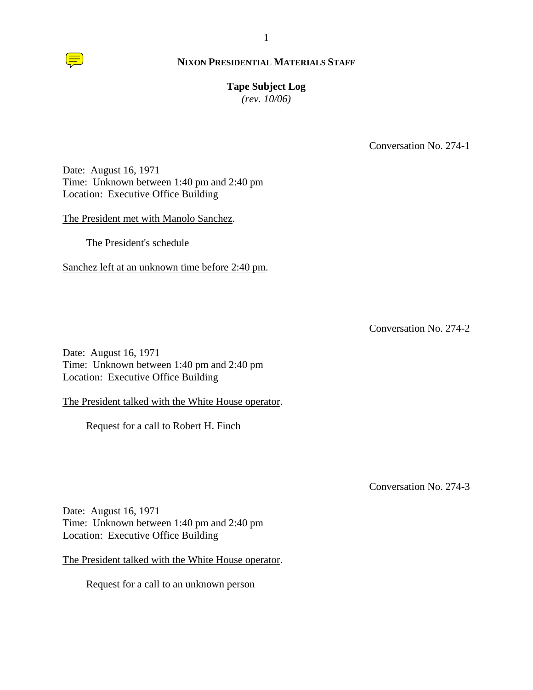

# **Tape Subject Log**

*(rev. 10/06)*

Conversation No. 274-1

Date: August 16, 1971 Time: Unknown between 1:40 pm and 2:40 pm Location: Executive Office Building

The President met with Manolo Sanchez.

The President's schedule

Sanchez left at an unknown time before 2:40 pm.

Conversation No. 274-2

Date: August 16, 1971 Time: Unknown between 1:40 pm and 2:40 pm Location: Executive Office Building

The President talked with the White House operator.

Request for a call to Robert H. Finch

Conversation No. 274-3

Date: August 16, 1971 Time: Unknown between 1:40 pm and 2:40 pm Location: Executive Office Building

The President talked with the White House operator.

Request for a call to an unknown person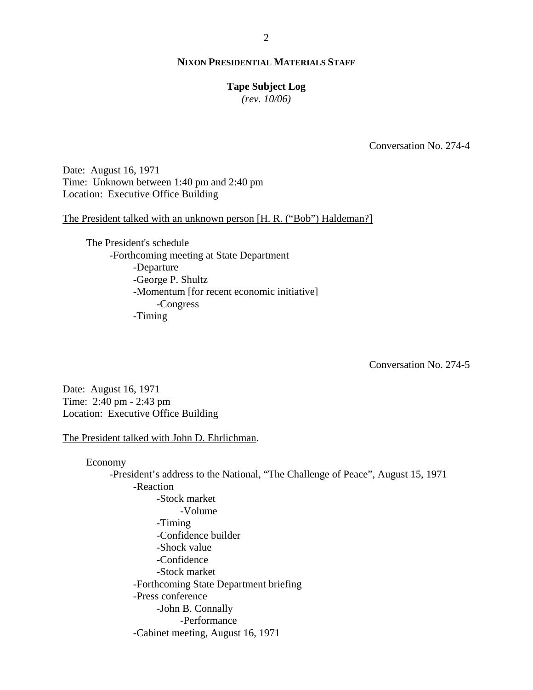#### **Tape Subject Log**

*(rev. 10/06)*

Conversation No. 274-4

Date: August 16, 1971 Time: Unknown between 1:40 pm and 2:40 pm Location: Executive Office Building

The President talked with an unknown person [H. R. ("Bob") Haldeman?]

The President's schedule -Forthcoming meeting at State Department -Departure -George P. Shultz -Momentum [for recent economic initiative] -Congress -Timing

Conversation No. 274-5

Date: August 16, 1971 Time: 2:40 pm - 2:43 pm Location: Executive Office Building

The President talked with John D. Ehrlichman.

Economy -President's address to the National, "The Challenge of Peace", August 15, 1971 -Reaction -Stock market -Volume -Timing -Confidence builder -Shock value -Confidence -Stock market -Forthcoming State Department briefing -Press conference -John B. Connally -Performance -Cabinet meeting, August 16, 1971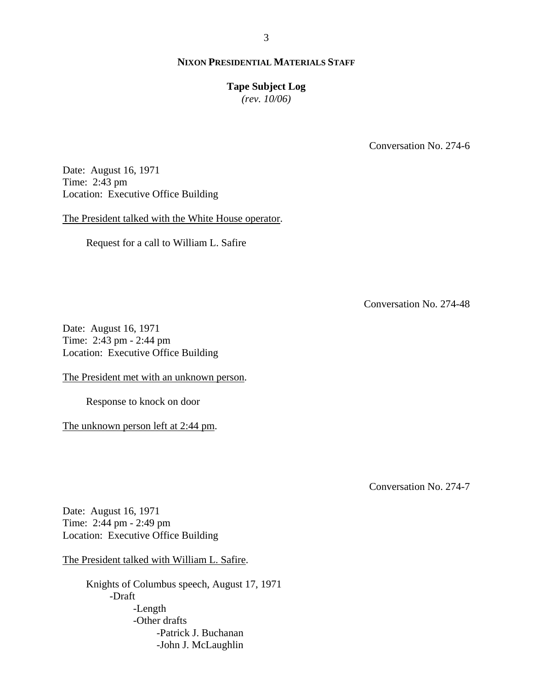#### **Tape Subject Log**

*(rev. 10/06)*

Conversation No. 274-6

Date: August 16, 1971 Time: 2:43 pm Location: Executive Office Building

The President talked with the White House operator.

Request for a call to William L. Safire

Conversation No. 274-48

Date: August 16, 1971 Time: 2:43 pm - 2:44 pm Location: Executive Office Building

The President met with an unknown person.

Response to knock on door

The unknown person left at 2:44 pm.

Conversation No. 274-7

Date: August 16, 1971 Time: 2:44 pm - 2:49 pm Location: Executive Office Building

The President talked with William L. Safire.

Knights of Columbus speech, August 17, 1971 -Draft -Length -Other drafts -Patrick J. Buchanan -John J. McLaughlin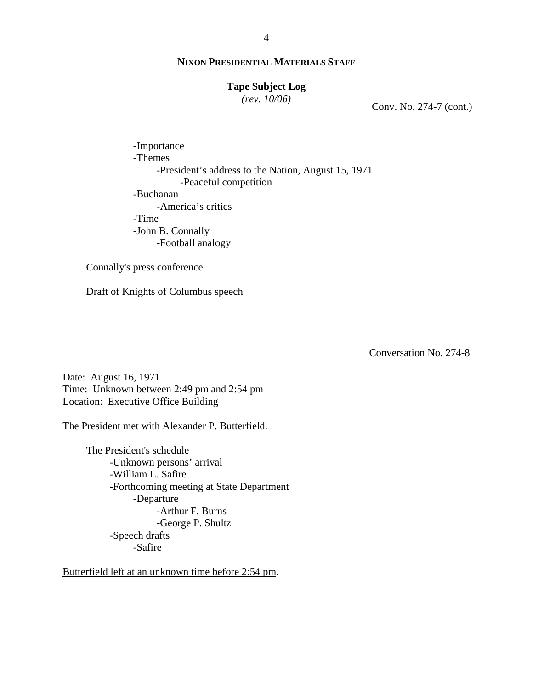# **Tape Subject Log**

*(rev. 10/06)*

Conv. No. 274-7 (cont.)

-Importance -Themes -President's address to the Nation, August 15, 1971 -Peaceful competition -Buchanan -America's critics -Time -John B. Connally -Football analogy

Connally's press conference

Draft of Knights of Columbus speech

Conversation No. 274-8

Date: August 16, 1971 Time: Unknown between 2:49 pm and 2:54 pm Location: Executive Office Building

The President met with Alexander P. Butterfield.

The President's schedule -Unknown persons' arrival -William L. Safire -Forthcoming meeting at State Department -Departure -Arthur F. Burns -George P. Shultz -Speech drafts -Safire

Butterfield left at an unknown time before 2:54 pm.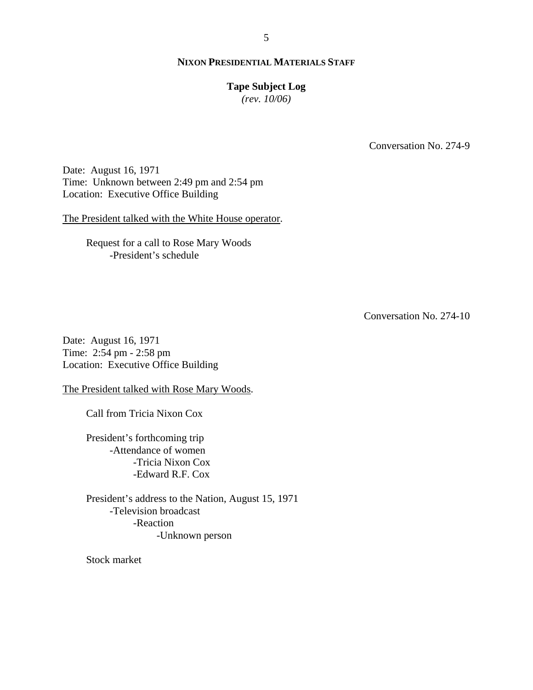#### **Tape Subject Log**

*(rev. 10/06)*

Conversation No. 274-9

Date: August 16, 1971 Time: Unknown between 2:49 pm and 2:54 pm Location: Executive Office Building

The President talked with the White House operator.

Request for a call to Rose Mary Woods -President's schedule

Conversation No. 274-10

Date: August 16, 1971 Time: 2:54 pm - 2:58 pm Location: Executive Office Building

The President talked with Rose Mary Woods.

Call from Tricia Nixon Cox

President's forthcoming trip -Attendance of women -Tricia Nixon Cox -Edward R.F. Cox

President's address to the Nation, August 15, 1971 -Television broadcast -Reaction -Unknown person

Stock market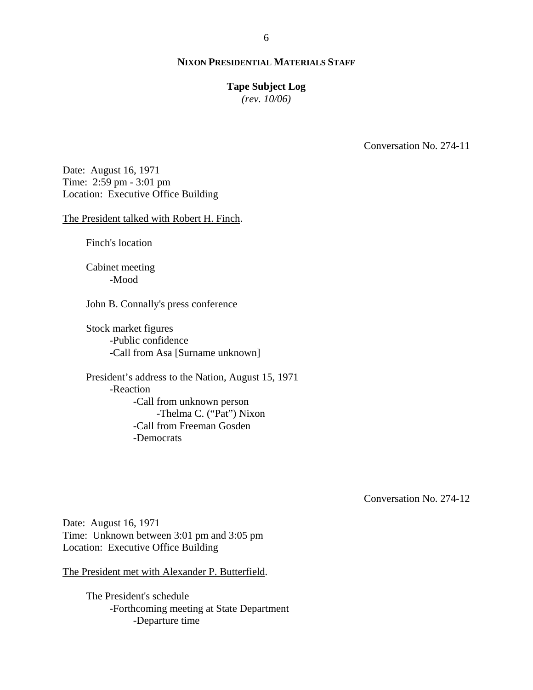#### **Tape Subject Log**

*(rev. 10/06)*

Conversation No. 274-11

Date: August 16, 1971 Time: 2:59 pm - 3:01 pm Location: Executive Office Building

The President talked with Robert H. Finch.

Finch's location

Cabinet meeting -Mood

John B. Connally's press conference

Stock market figures -Public confidence -Call from Asa [Surname unknown]

President's address to the Nation, August 15, 1971 -Reaction -Call from unknown person -Thelma C. ("Pat") Nixon -Call from Freeman Gosden -Democrats

Conversation No. 274-12

Date: August 16, 1971 Time: Unknown between 3:01 pm and 3:05 pm Location: Executive Office Building

The President met with Alexander P. Butterfield.

The President's schedule -Forthcoming meeting at State Department -Departure time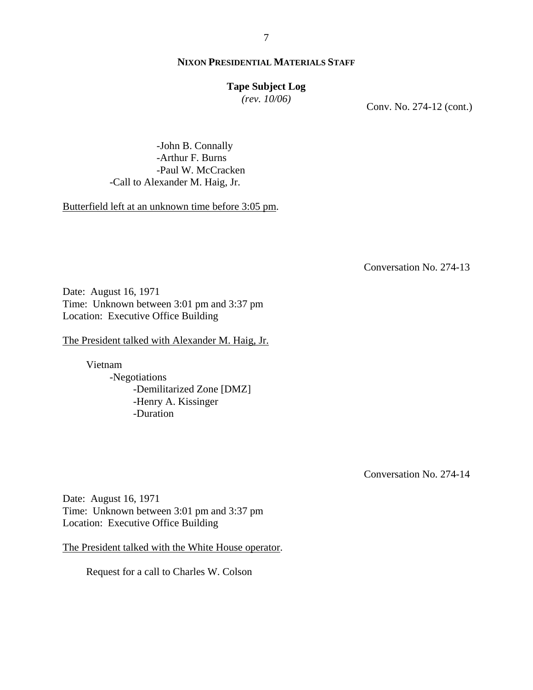# **Tape Subject Log**

*(rev. 10/06)*

Conv. No. 274-12 (cont.)

-John B. Connally -Arthur F. Burns -Paul W. McCracken -Call to Alexander M. Haig, Jr.

Butterfield left at an unknown time before 3:05 pm.

Conversation No. 274-13

Date: August 16, 1971 Time: Unknown between 3:01 pm and 3:37 pm Location: Executive Office Building

The President talked with Alexander M. Haig, Jr.

Vietnam -Negotiations -Demilitarized Zone [DMZ] -Henry A. Kissinger -Duration

Conversation No. 274-14

Date: August 16, 1971 Time: Unknown between 3:01 pm and 3:37 pm Location: Executive Office Building

The President talked with the White House operator.

Request for a call to Charles W. Colson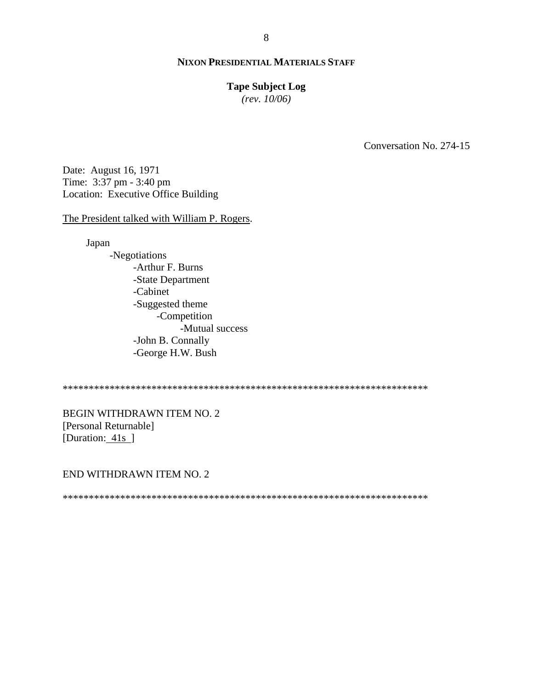#### **Tape Subject Log**

*(rev. 10/06)*

Conversation No. 274-15

Date: August 16, 1971 Time: 3:37 pm - 3:40 pm Location: Executive Office Building

The President talked with William P. Rogers.

Japan

-Negotiations -Arthur F. Burns -State Department -Cabinet -Suggested theme -Competition -Mutual success -John B. Connally -George H.W. Bush

\*\*\*\*\*\*\*\*\*\*\*\*\*\*\*\*\*\*\*\*\*\*\*\*\*\*\*\*\*\*\*\*\*\*\*\*\*\*\*\*\*\*\*\*\*\*\*\*\*\*\*\*\*\*\*\*\*\*\*\*\*\*\*\*\*\*\*\*\*\*

BEGIN WITHDRAWN ITEM NO. 2 [Personal Returnable] [Duration: 41s]

END WITHDRAWN ITEM NO. 2

\*\*\*\*\*\*\*\*\*\*\*\*\*\*\*\*\*\*\*\*\*\*\*\*\*\*\*\*\*\*\*\*\*\*\*\*\*\*\*\*\*\*\*\*\*\*\*\*\*\*\*\*\*\*\*\*\*\*\*\*\*\*\*\*\*\*\*\*\*\*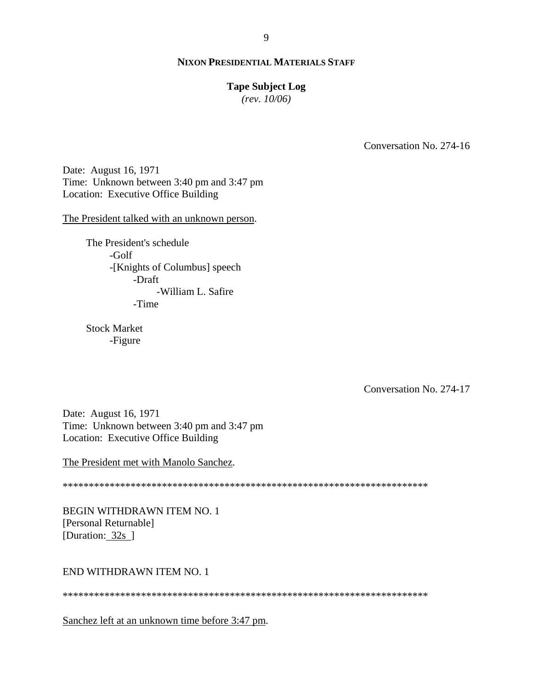#### **Tape Subject Log**

*(rev. 10/06)*

Conversation No. 274-16

Date: August 16, 1971 Time: Unknown between 3:40 pm and 3:47 pm Location: Executive Office Building

The President talked with an unknown person.

The President's schedule -Golf -[Knights of Columbus] speech -Draft -William L. Safire -Time

Stock Market -Figure

Conversation No. 274-17

Date: August 16, 1971 Time: Unknown between 3:40 pm and 3:47 pm Location: Executive Office Building

The President met with Manolo Sanchez.

\*\*\*\*\*\*\*\*\*\*\*\*\*\*\*\*\*\*\*\*\*\*\*\*\*\*\*\*\*\*\*\*\*\*\*\*\*\*\*\*\*\*\*\*\*\*\*\*\*\*\*\*\*\*\*\*\*\*\*\*\*\*\*\*\*\*\*\*\*\*

BEGIN WITHDRAWN ITEM NO. 1 [Personal Returnable] [Duration: 32s ]

END WITHDRAWN ITEM NO. 1

\*\*\*\*\*\*\*\*\*\*\*\*\*\*\*\*\*\*\*\*\*\*\*\*\*\*\*\*\*\*\*\*\*\*\*\*\*\*\*\*\*\*\*\*\*\*\*\*\*\*\*\*\*\*\*\*\*\*\*\*\*\*\*\*\*\*\*\*\*\*

Sanchez left at an unknown time before 3:47 pm.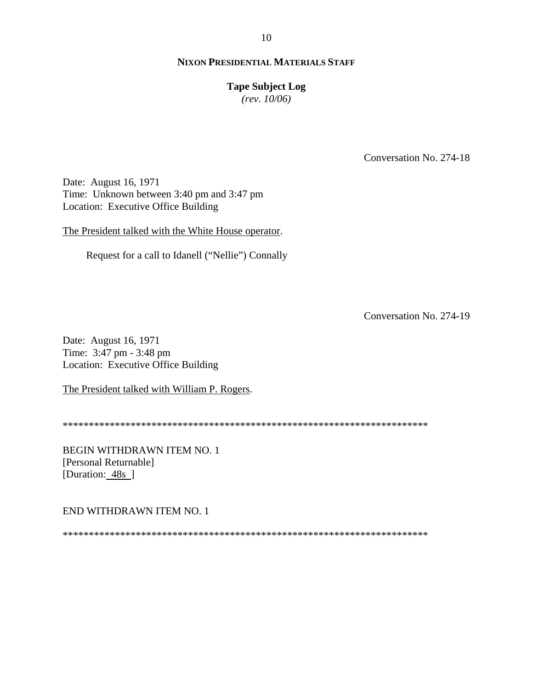# 10

# **NIXON PRESIDENTIAL MATERIALS STAFF**

#### **Tape Subject Log**

*(rev. 10/06)*

Conversation No. 274-18

Date: August 16, 1971 Time: Unknown between 3:40 pm and 3:47 pm Location: Executive Office Building

The President talked with the White House operator.

Request for a call to Idanell ("Nellie") Connally

Conversation No. 274-19

Date: August 16, 1971 Time: 3:47 pm - 3:48 pm Location: Executive Office Building

The President talked with William P. Rogers.

\*\*\*\*\*\*\*\*\*\*\*\*\*\*\*\*\*\*\*\*\*\*\*\*\*\*\*\*\*\*\*\*\*\*\*\*\*\*\*\*\*\*\*\*\*\*\*\*\*\*\*\*\*\*\*\*\*\*\*\*\*\*\*\*\*\*\*\*\*\*

BEGIN WITHDRAWN ITEM NO. 1 [Personal Returnable] [Duration: 48s<sup>]</sup>

END WITHDRAWN ITEM NO. 1

\*\*\*\*\*\*\*\*\*\*\*\*\*\*\*\*\*\*\*\*\*\*\*\*\*\*\*\*\*\*\*\*\*\*\*\*\*\*\*\*\*\*\*\*\*\*\*\*\*\*\*\*\*\*\*\*\*\*\*\*\*\*\*\*\*\*\*\*\*\*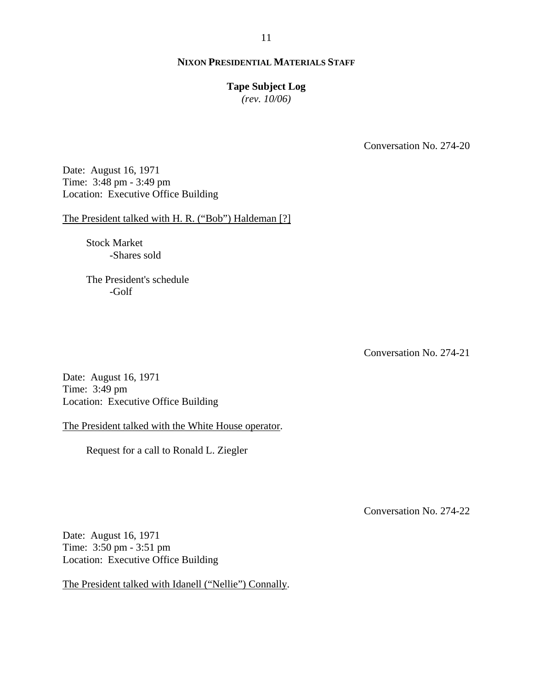# **Tape Subject Log**

*(rev. 10/06)*

Conversation No. 274-20

Date: August 16, 1971 Time: 3:48 pm - 3:49 pm Location: Executive Office Building

The President talked with H. R. ("Bob") Haldeman [?]

Stock Market -Shares sold

The President's schedule -Golf

Conversation No. 274-21

Date: August 16, 1971 Time: 3:49 pm Location: Executive Office Building

The President talked with the White House operator.

Request for a call to Ronald L. Ziegler

Conversation No. 274-22

Date: August 16, 1971 Time: 3:50 pm - 3:51 pm Location: Executive Office Building

The President talked with Idanell ("Nellie") Connally.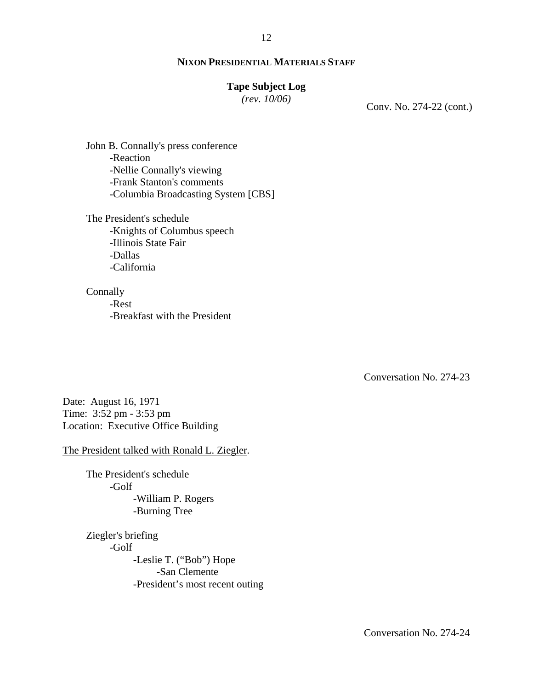# **Tape Subject Log**

*(rev. 10/06)*

Conv. No. 274-22 (cont.)

John B. Connally's press conference -Reaction -Nellie Connally's viewing -Frank Stanton's comments -Columbia Broadcasting System [CBS]

The President's schedule -Knights of Columbus speech -Illinois State Fair -Dallas -California

Connally -Rest -Breakfast with the President

Conversation No. 274-23

Date: August 16, 1971 Time: 3:52 pm - 3:53 pm Location: Executive Office Building

The President talked with Ronald L. Ziegler.

The President's schedule -Golf -William P. Rogers -Burning Tree

Ziegler's briefing -Golf -Leslie T. ("Bob") Hope -San Clemente -President's most recent outing

Conversation No. 274-24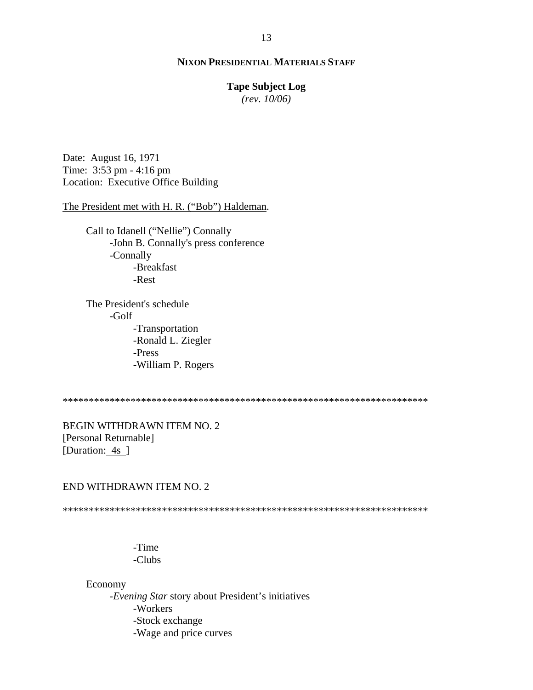# **Tape Subject Log**

*(rev. 10/06)*

Date: August 16, 1971 Time: 3:53 pm - 4:16 pm Location: Executive Office Building

The President met with H. R. ("Bob") Haldeman.

Call to Idanell ("Nellie") Connally -John B. Connally's press conference -Connally -Breakfast -Rest

The President's schedule -Golf -Transportation -Ronald L. Ziegler -Press -William P. Rogers

\*\*\*\*\*\*\*\*\*\*\*\*\*\*\*\*\*\*\*\*\*\*\*\*\*\*\*\*\*\*\*\*\*\*\*\*\*\*\*\*\*\*\*\*\*\*\*\*\*\*\*\*\*\*\*\*\*\*\*\*\*\*\*\*\*\*\*\*\*\*

BEGIN WITHDRAWN ITEM NO. 2 [Personal Returnable] [Duration: 4s ]

# END WITHDRAWN ITEM NO. 2

\*\*\*\*\*\*\*\*\*\*\*\*\*\*\*\*\*\*\*\*\*\*\*\*\*\*\*\*\*\*\*\*\*\*\*\*\*\*\*\*\*\*\*\*\*\*\*\*\*\*\*\*\*\*\*\*\*\*\*\*\*\*\*\*\*\*\*\*\*\*

-Time -Clubs

Economy

-*Evening Star* story about President's initiatives -Workers -Stock exchange -Wage and price curves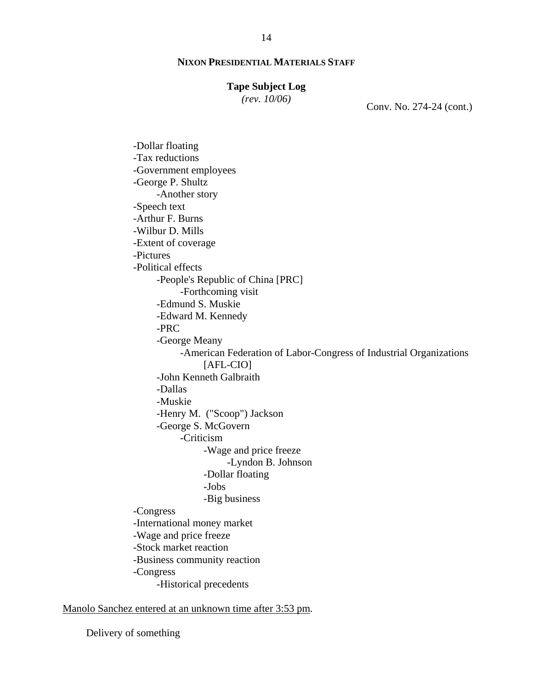#### **Tape Subject Log**

*(rev. 10/06)*

Conv. No. 274-24 (cont.)

-Dollar floating -Tax reductions -Government employees -George P. Shultz -Another story -Speech text -Arthur F. Burns -Wilbur D. Mills -Extent of coverage -Pictures -Political effects -People's Republic of China [PRC] -Forthcoming visit -Edmund S. Muskie -Edward M. Kennedy -PRC -George Meany -American Federation of Labor-Congress of Industrial Organizations [AFL-CIO] -John Kenneth Galbraith -Dallas -Muskie -Henry M. ("Scoop") Jackson -George S. McGovern -Criticism -Wage and price freeze -Lyndon B. Johnson -Dollar floating -Jobs -Big business -Congress -International money market -Wage and price freeze -Stock market reaction -Business community reaction -Congress -Historical precedents

Manolo Sanchez entered at an unknown time after 3:53 pm.

Delivery of something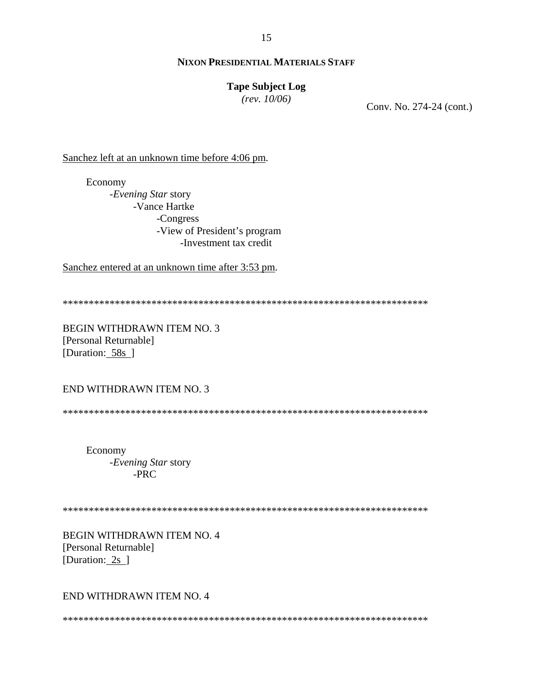15

# **NIXON PRESIDENTIAL MATERIALS STAFF**

# **Tape Subject Log**

*(rev. 10/06)*

Conv. No. 274-24 (cont.)

Sanchez left at an unknown time before 4:06 pm.

Economy -*Evening Star* story -Vance Hartke -Congress -View of President's program -Investment tax credit

Sanchez entered at an unknown time after 3:53 pm.

\*\*\*\*\*\*\*\*\*\*\*\*\*\*\*\*\*\*\*\*\*\*\*\*\*\*\*\*\*\*\*\*\*\*\*\*\*\*\*\*\*\*\*\*\*\*\*\*\*\*\*\*\*\*\*\*\*\*\*\*\*\*\*\*\*\*\*\*\*\*

BEGIN WITHDRAWN ITEM NO. 3 [Personal Returnable] [Duration: 58s]

END WITHDRAWN ITEM NO. 3

\*\*\*\*\*\*\*\*\*\*\*\*\*\*\*\*\*\*\*\*\*\*\*\*\*\*\*\*\*\*\*\*\*\*\*\*\*\*\*\*\*\*\*\*\*\*\*\*\*\*\*\*\*\*\*\*\*\*\*\*\*\*\*\*\*\*\*\*\*\*

Economy -*Evening Star* story -PRC

\*\*\*\*\*\*\*\*\*\*\*\*\*\*\*\*\*\*\*\*\*\*\*\*\*\*\*\*\*\*\*\*\*\*\*\*\*\*\*\*\*\*\*\*\*\*\*\*\*\*\*\*\*\*\*\*\*\*\*\*\*\*\*\*\*\*\*\*\*\*

BEGIN WITHDRAWN ITEM NO. 4 [Personal Returnable] [Duration: 2s ]

# END WITHDRAWN ITEM NO. 4

\*\*\*\*\*\*\*\*\*\*\*\*\*\*\*\*\*\*\*\*\*\*\*\*\*\*\*\*\*\*\*\*\*\*\*\*\*\*\*\*\*\*\*\*\*\*\*\*\*\*\*\*\*\*\*\*\*\*\*\*\*\*\*\*\*\*\*\*\*\*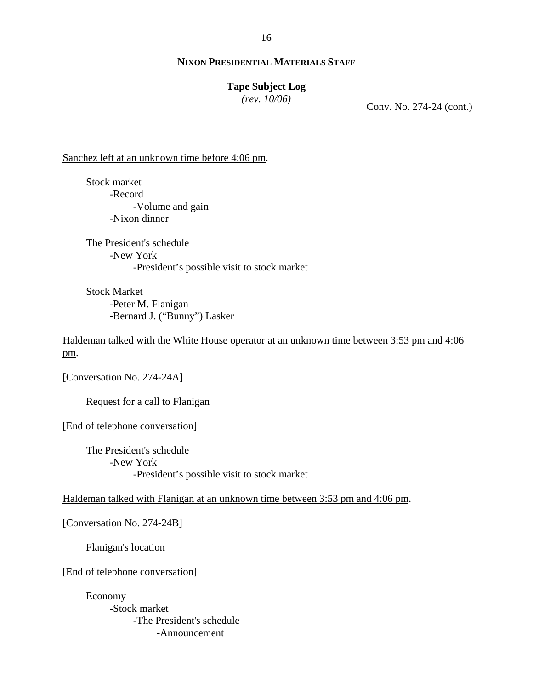16

# **NIXON PRESIDENTIAL MATERIALS STAFF**

#### **Tape Subject Log**

*(rev. 10/06)*

Conv. No. 274-24 (cont.)

Sanchez left at an unknown time before 4:06 pm.

Stock market -Record -Volume and gain -Nixon dinner

The President's schedule -New York -President's possible visit to stock market

Stock Market -Peter M. Flanigan -Bernard J. ("Bunny") Lasker

Haldeman talked with the White House operator at an unknown time between 3:53 pm and 4:06 pm.

[Conversation No. 274-24A]

Request for a call to Flanigan

[End of telephone conversation]

The President's schedule -New York -President's possible visit to stock market

Haldeman talked with Flanigan at an unknown time between 3:53 pm and 4:06 pm.

[Conversation No. 274-24B]

Flanigan's location

[End of telephone conversation]

Economy -Stock market -The President's schedule -Announcement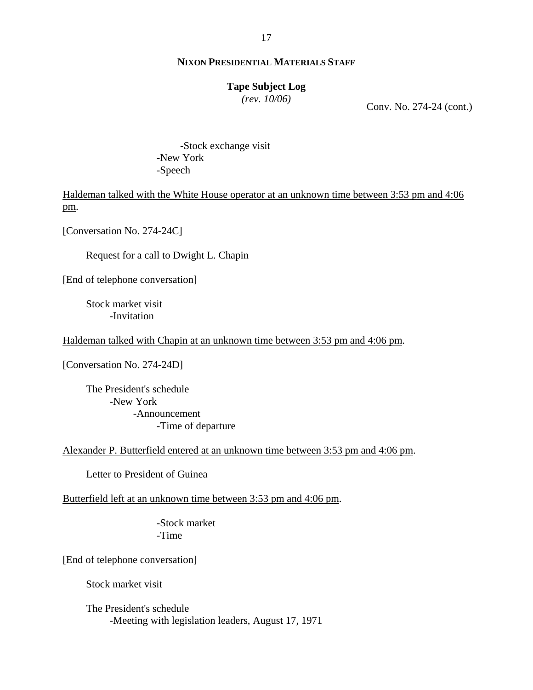#### **Tape Subject Log**

*(rev. 10/06)*

Conv. No. 274-24 (cont.)

-Stock exchange visit -New York -Speech

Haldeman talked with the White House operator at an unknown time between 3:53 pm and 4:06 pm.

[Conversation No. 274-24C]

Request for a call to Dwight L. Chapin

[End of telephone conversation]

Stock market visit -Invitation

Haldeman talked with Chapin at an unknown time between 3:53 pm and 4:06 pm.

[Conversation No. 274-24D]

The President's schedule -New York -Announcement -Time of departure

Alexander P. Butterfield entered at an unknown time between 3:53 pm and 4:06 pm.

Letter to President of Guinea

Butterfield left at an unknown time between 3:53 pm and 4:06 pm.

-Stock market -Time

[End of telephone conversation]

Stock market visit

The President's schedule -Meeting with legislation leaders, August 17, 1971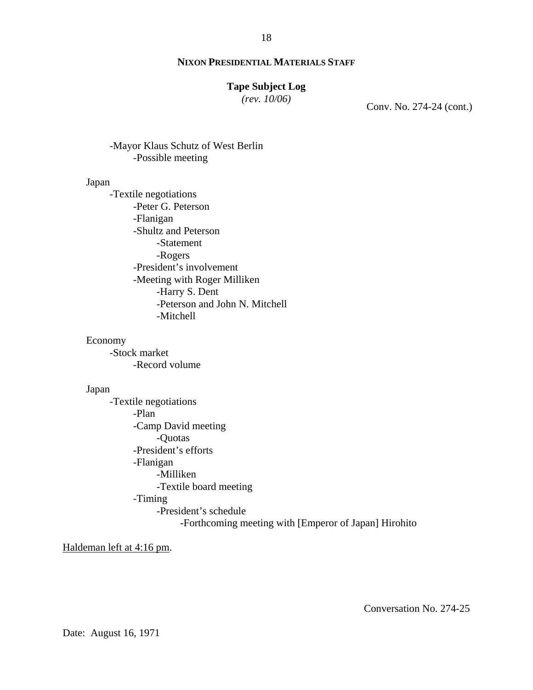#### 18

#### **NIXON PRESIDENTIAL MATERIALS STAFF**

# **Tape Subject Log**

*(rev. 10/06)*

Conv. No. 274-24 (cont.)

# -Mayor Klaus Schutz of West Berlin -Possible meeting

#### Japan

-Textile negotiations -Peter G. Peterson -Flanigan -Shultz and Peterson -Statement -Rogers -President's involvement -Meeting with Roger Milliken -Harry S. Dent -Peterson and John N. Mitchell -Mitchell

#### Economy

-Stock market -Record volume

#### Japan

-Textile negotiations -Plan -Camp David meeting -Quotas -President's efforts -Flanigan -Milliken -Textile board meeting -Timing -President's schedule -Forthcoming meeting with [Emperor of Japan] Hirohito

Haldeman left at 4:16 pm.

Conversation No. 274-25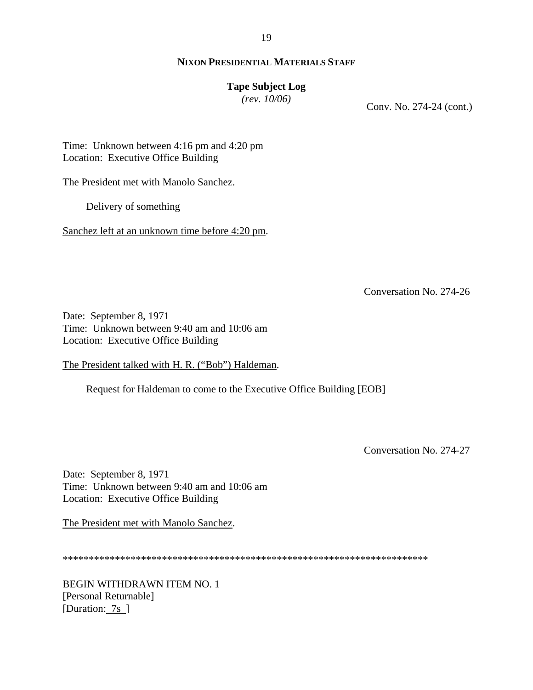#### 19

# **NIXON PRESIDENTIAL MATERIALS STAFF**

# **Tape Subject Log**

*(rev. 10/06)*

Conv. No. 274-24 (cont.)

Time: Unknown between 4:16 pm and 4:20 pm Location: Executive Office Building

The President met with Manolo Sanchez.

Delivery of something

Sanchez left at an unknown time before 4:20 pm.

Conversation No. 274-26

Date: September 8, 1971 Time: Unknown between 9:40 am and 10:06 am Location: Executive Office Building

The President talked with H. R. ("Bob") Haldeman.

Request for Haldeman to come to the Executive Office Building [EOB]

Conversation No. 274-27

Date: September 8, 1971 Time: Unknown between 9:40 am and 10:06 am Location: Executive Office Building

The President met with Manolo Sanchez.

\*\*\*\*\*\*\*\*\*\*\*\*\*\*\*\*\*\*\*\*\*\*\*\*\*\*\*\*\*\*\*\*\*\*\*\*\*\*\*\*\*\*\*\*\*\*\*\*\*\*\*\*\*\*\*\*\*\*\*\*\*\*\*\*\*\*\*\*\*\*

BEGIN WITHDRAWN ITEM NO. 1 [Personal Returnable] [Duration: 7s ]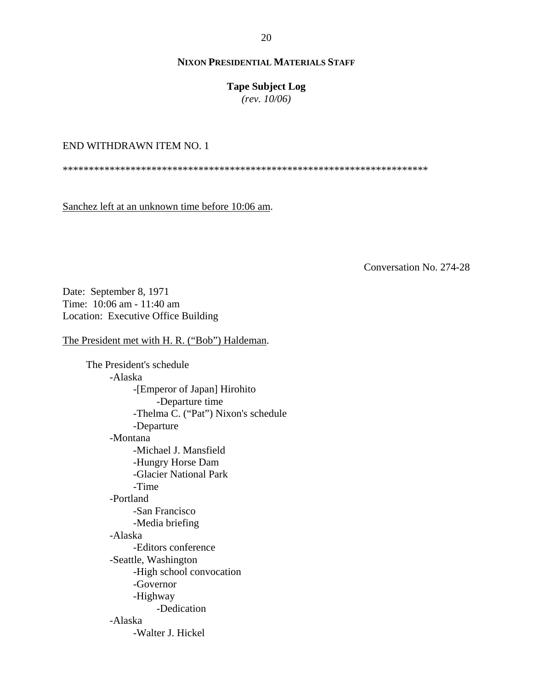# **Tape Subject Log**

*(rev. 10/06)*

# END WITHDRAWN ITEM NO. 1

\*\*\*\*\*\*\*\*\*\*\*\*\*\*\*\*\*\*\*\*\*\*\*\*\*\*\*\*\*\*\*\*\*\*\*\*\*\*\*\*\*\*\*\*\*\*\*\*\*\*\*\*\*\*\*\*\*\*\*\*\*\*\*\*\*\*\*\*\*\*

Sanchez left at an unknown time before 10:06 am.

Conversation No. 274-28

Date: September 8, 1971 Time: 10:06 am - 11:40 am Location: Executive Office Building

The President met with H. R. ("Bob") Haldeman.

The President's schedule -Alaska -[Emperor of Japan] Hirohito -Departure time -Thelma C. ("Pat") Nixon's schedule -Departure -Montana -Michael J. Mansfield -Hungry Horse Dam -Glacier National Park -Time -Portland -San Francisco -Media briefing -Alaska -Editors conference -Seattle, Washington -High school convocation -Governor -Highway -Dedication -Alaska -Walter J. Hickel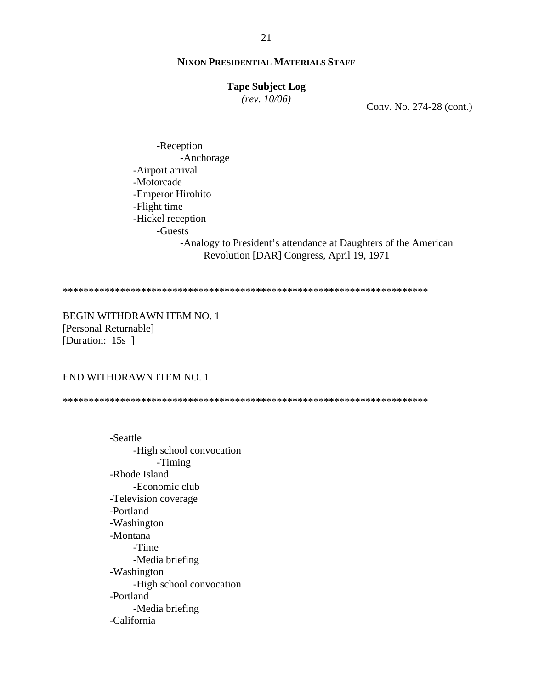# **Tape Subject Log**

*(rev. 10/06)*

Conv. No. 274-28 (cont.)

-Reception -Anchorage -Airport arrival -Motorcade -Emperor Hirohito -Flight time -Hickel reception -Guests -Analogy to President's attendance at Daughters of the American Revolution [DAR] Congress, April 19, 1971

\*\*\*\*\*\*\*\*\*\*\*\*\*\*\*\*\*\*\*\*\*\*\*\*\*\*\*\*\*\*\*\*\*\*\*\*\*\*\*\*\*\*\*\*\*\*\*\*\*\*\*\*\*\*\*\*\*\*\*\*\*\*\*\*\*\*\*\*\*\*

BEGIN WITHDRAWN ITEM NO. 1 [Personal Returnable] [Duration: 15s]

#### END WITHDRAWN ITEM NO. 1

\*\*\*\*\*\*\*\*\*\*\*\*\*\*\*\*\*\*\*\*\*\*\*\*\*\*\*\*\*\*\*\*\*\*\*\*\*\*\*\*\*\*\*\*\*\*\*\*\*\*\*\*\*\*\*\*\*\*\*\*\*\*\*\*\*\*\*\*\*\*

-Seattle -High school convocation -Timing -Rhode Island -Economic club -Television coverage -Portland -Washington -Montana -Time -Media briefing -Washington -High school convocation -Portland -Media briefing -California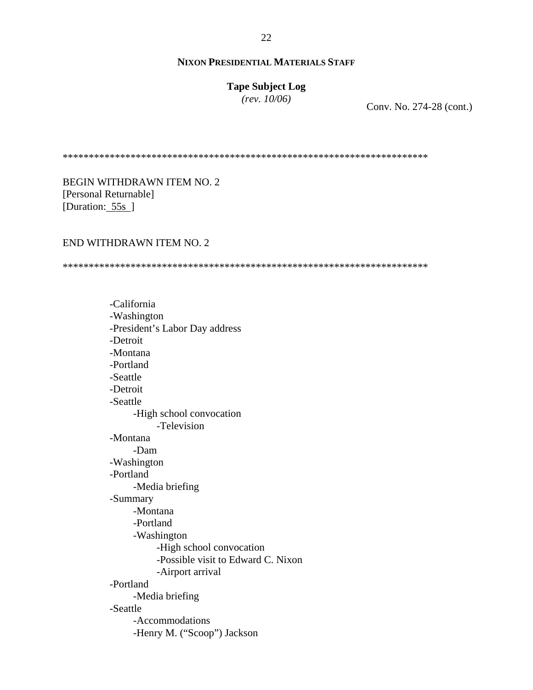**Tape Subject Log** *(rev. 10/06)*

Conv. No. 274-28 (cont.)

\*\*\*\*\*\*\*\*\*\*\*\*\*\*\*\*\*\*\*\*\*\*\*\*\*\*\*\*\*\*\*\*\*\*\*\*\*\*\*\*\*\*\*\*\*\*\*\*\*\*\*\*\*\*\*\*\*\*\*\*\*\*\*\*\*\*\*\*\*\*

BEGIN WITHDRAWN ITEM NO. 2 [Personal Returnable] [Duration: 55s]

#### END WITHDRAWN ITEM NO. 2

\*\*\*\*\*\*\*\*\*\*\*\*\*\*\*\*\*\*\*\*\*\*\*\*\*\*\*\*\*\*\*\*\*\*\*\*\*\*\*\*\*\*\*\*\*\*\*\*\*\*\*\*\*\*\*\*\*\*\*\*\*\*\*\*\*\*\*\*\*\*

-California -Washington -President's Labor Day address -Detroit -Montana -Portland -Seattle -Detroit -Seattle -High school convocation -Television -Montana -Dam -Washington -Portland -Media briefing -Summary -Montana -Portland -Washington -High school convocation -Possible visit to Edward C. Nixon -Airport arrival -Portland -Media briefing -Seattle -Accommodations -Henry M. ("Scoop") Jackson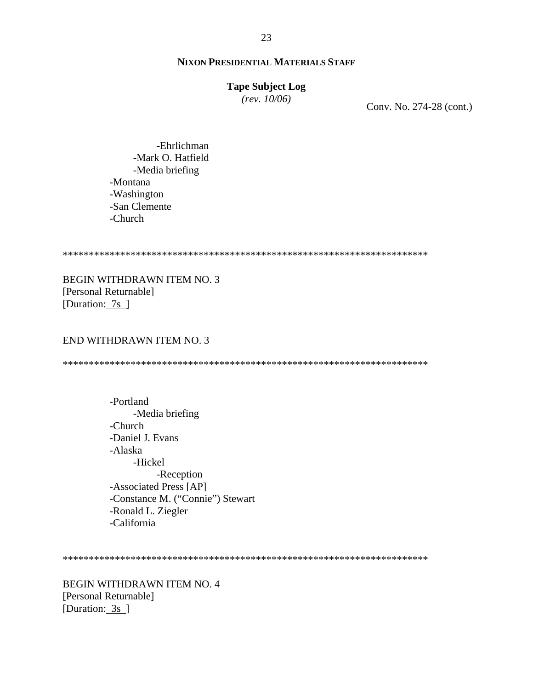# **Tape Subject Log**

*(rev. 10/06)*

Conv. No. 274-28 (cont.)

-Ehrlichman -Mark O. Hatfield -Media briefing -Montana -Washington -San Clemente -Church

#### \*\*\*\*\*\*\*\*\*\*\*\*\*\*\*\*\*\*\*\*\*\*\*\*\*\*\*\*\*\*\*\*\*\*\*\*\*\*\*\*\*\*\*\*\*\*\*\*\*\*\*\*\*\*\*\*\*\*\*\*\*\*\*\*\*\*\*\*\*\*

BEGIN WITHDRAWN ITEM NO. 3 [Personal Returnable] [Duration: 7s ]

#### END WITHDRAWN ITEM NO. 3

\*\*\*\*\*\*\*\*\*\*\*\*\*\*\*\*\*\*\*\*\*\*\*\*\*\*\*\*\*\*\*\*\*\*\*\*\*\*\*\*\*\*\*\*\*\*\*\*\*\*\*\*\*\*\*\*\*\*\*\*\*\*\*\*\*\*\*\*\*\*

-Portland -Media briefing -Church -Daniel J. Evans -Alaska -Hickel -Reception -Associated Press [AP] -Constance M. ("Connie") Stewart -Ronald L. Ziegler -California

\*\*\*\*\*\*\*\*\*\*\*\*\*\*\*\*\*\*\*\*\*\*\*\*\*\*\*\*\*\*\*\*\*\*\*\*\*\*\*\*\*\*\*\*\*\*\*\*\*\*\*\*\*\*\*\*\*\*\*\*\*\*\*\*\*\*\*\*\*\*

BEGIN WITHDRAWN ITEM NO. 4 [Personal Returnable] [Duration: 3s ]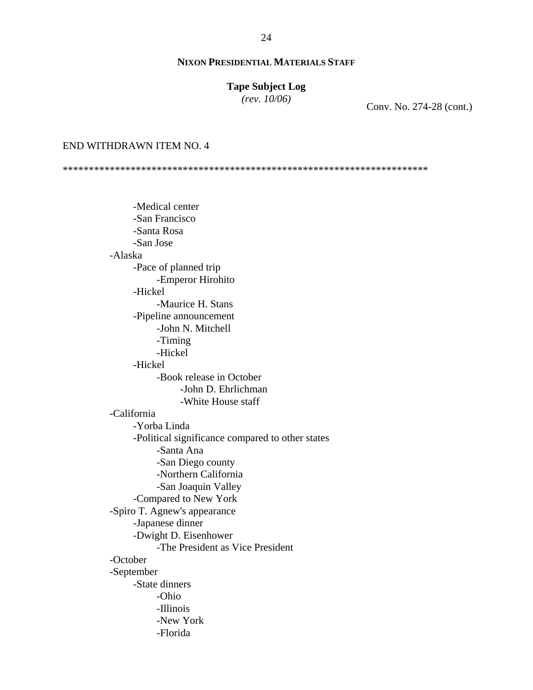# **Tape Subject Log**

*(rev. 10/06)*

Conv. No. 274-28 (cont.)

#### END WITHDRAWN ITEM NO. 4

\*\*\*\*\*\*\*\*\*\*\*\*\*\*\*\*\*\*\*\*\*\*\*\*\*\*\*\*\*\*\*\*\*\*\*\*\*\*\*\*\*\*\*\*\*\*\*\*\*\*\*\*\*\*\*\*\*\*\*\*\*\*\*\*\*\*\*\*\*\*

-Medical center -San Francisco -Santa Rosa -San Jose -Alaska -Pace of planned trip -Emperor Hirohito -Hickel -Maurice H. Stans -Pipeline announcement -John N. Mitchell -Timing -Hickel -Hickel -Book release in October -John D. Ehrlichman -White House staff -California -Yorba Linda -Political significance compared to other states -Santa Ana -San Diego county -Northern California -San Joaquin Valley -Compared to New York -Spiro T. Agnew's appearance -Japanese dinner -Dwight D. Eisenhower -The President as Vice President -October -September -State dinners -Ohio -Illinois -New York -Florida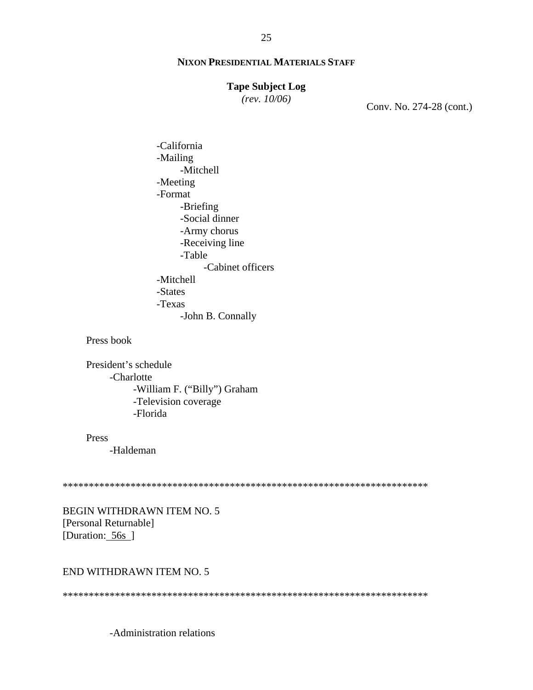#### **Tape Subject Log**

*(rev. 10/06)*

Conv. No. 274-28 (cont.)

-California -Mailing -Mitchell -Meeting -Format -Briefing -Social dinner -Army chorus -Receiving line -Table -Cabinet officers -Mitchell -States -Texas -John B. Connally

Press book

President's schedule -Charlotte -William F. ("Billy") Graham -Television coverage -Florida

Press

-Haldeman

\*\*\*\*\*\*\*\*\*\*\*\*\*\*\*\*\*\*\*\*\*\*\*\*\*\*\*\*\*\*\*\*\*\*\*\*\*\*\*\*\*\*\*\*\*\*\*\*\*\*\*\*\*\*\*\*\*\*\*\*\*\*\*\*\*\*\*\*\*\*

BEGIN WITHDRAWN ITEM NO. 5 [Personal Returnable] [Duration: 56s ]

#### END WITHDRAWN ITEM NO. 5

\*\*\*\*\*\*\*\*\*\*\*\*\*\*\*\*\*\*\*\*\*\*\*\*\*\*\*\*\*\*\*\*\*\*\*\*\*\*\*\*\*\*\*\*\*\*\*\*\*\*\*\*\*\*\*\*\*\*\*\*\*\*\*\*\*\*\*\*\*\*

-Administration relations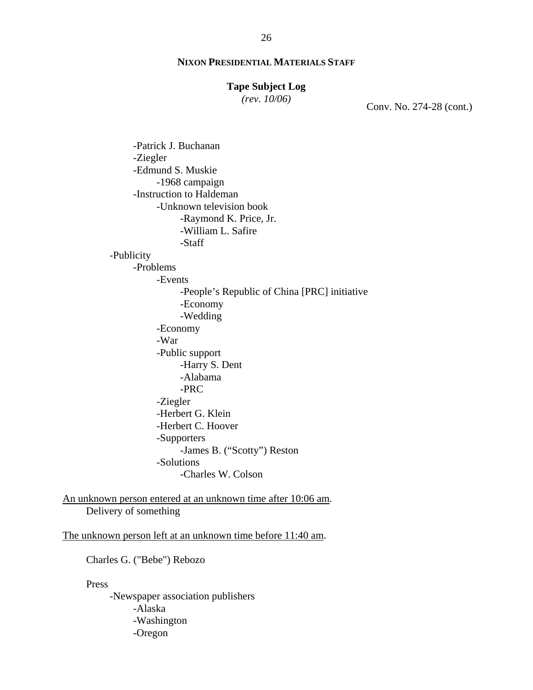#### **Tape Subject Log**

*(rev. 10/06)*

Conv. No. 274-28 (cont.)

-Patrick J. Buchanan -Ziegler -Edmund S. Muskie -1968 campaign -Instruction to Haldeman -Unknown television book -Raymond K. Price, Jr. -William L. Safire -Staff -Publicity -Problems -Events -People's Republic of China [PRC] initiative -Economy -Wedding -Economy -War -Public support -Harry S. Dent -Alabama -PRC -Ziegler -Herbert G. Klein -Herbert C. Hoover -Supporters -James B. ("Scotty") Reston -Solutions -Charles W. Colson

An unknown person entered at an unknown time after 10:06 am. Delivery of something

The unknown person left at an unknown time before 11:40 am.

Charles G. ("Bebe") Rebozo

Press

-Newspaper association publishers -Alaska -Washington -Oregon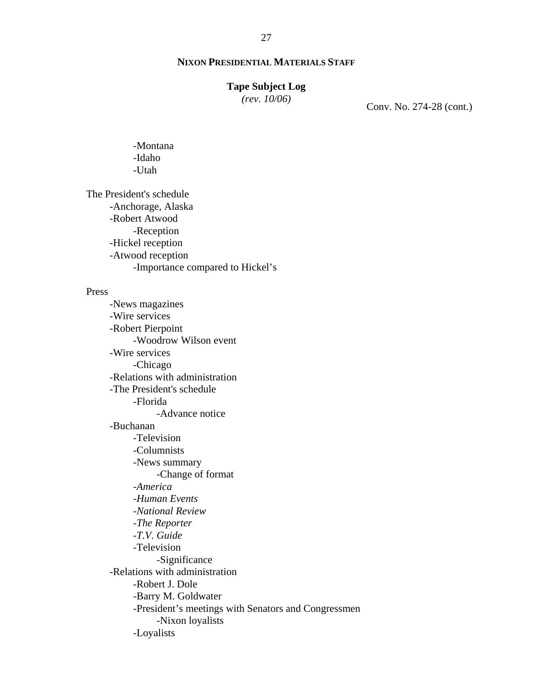# **Tape Subject Log**

*(rev. 10/06)*

Conv. No. 274-28 (cont.)

-Montana -Idaho -Utah

The President's schedule -Anchorage, Alaska -Robert Atwood -Reception -Hickel reception -Atwood reception -Importance compared to Hickel's

#### Press

-News magazines -Wire services -Robert Pierpoint -Woodrow Wilson event -Wire services -Chicago -Relations with administration -The President's schedule -Florida -Advance notice -Buchanan -Television -Columnists -News summary -Change of format -*America* -*Human Events* -*National Review* -*The Reporter* -*T.V. Guide* -Television -Significance -Relations with administration -Robert J. Dole -Barry M. Goldwater -President's meetings with Senators and Congressmen -Nixon loyalists -Loyalists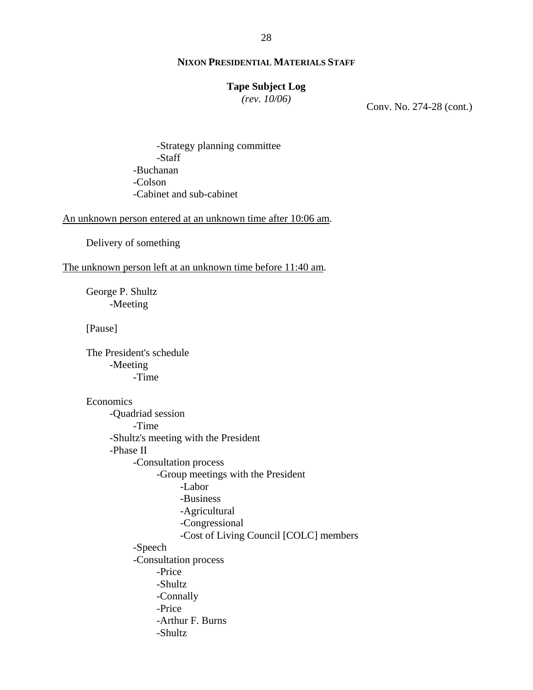# **Tape Subject Log**

*(rev. 10/06)*

Conv. No. 274-28 (cont.)

-Strategy planning committee -Staff -Buchanan -Colson -Cabinet and sub-cabinet

An unknown person entered at an unknown time after 10:06 am.

Delivery of something

#### The unknown person left at an unknown time before 11:40 am.

George P. Shultz -Meeting

[Pause]

The President's schedule -Meeting -Time

#### Economics

-Quadriad session -Time -Shultz's meeting with the President -Phase II -Consultation process -Group meetings with the President -Labor -Business -Agricultural -Congressional -Cost of Living Council [COLC] members -Speech -Consultation process -Price -Shultz -Connally -Price -Arthur F. Burns -Shultz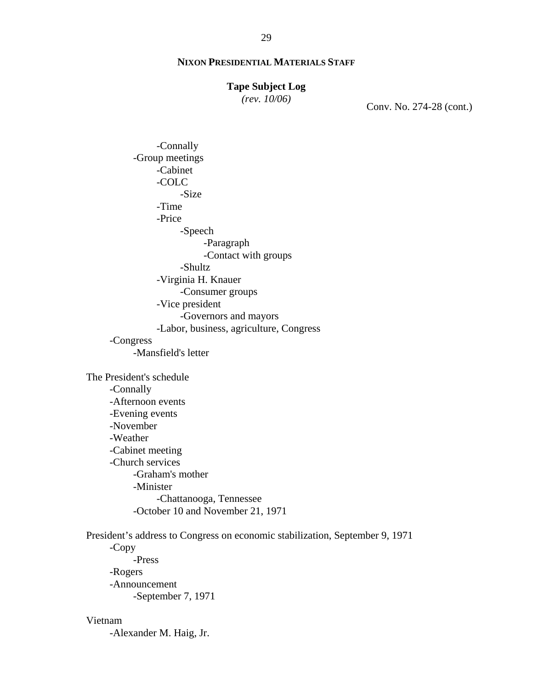#### **Tape Subject Log**

*(rev. 10/06)*

Conv. No. 274-28 (cont.)

-Connally -Group meetings -Cabinet -COLC -Size -Time -Price -Speech -Paragraph -Contact with groups -Shultz -Virginia H. Knauer -Consumer groups -Vice president -Governors and mayors -Labor, business, agriculture, Congress -Congress -Mansfield's letter The President's schedule -Connally -Afternoon events -Evening events -November -Weather -Cabinet meeting

-Church services -Graham's mother

> -Minister -Chattanooga, Tennessee -October 10 and November 21, 1971

President's address to Congress on economic stabilization, September 9, 1971 -Copy -Press -Rogers -Announcement -September 7, 1971

#### Vietnam

-Alexander M. Haig, Jr.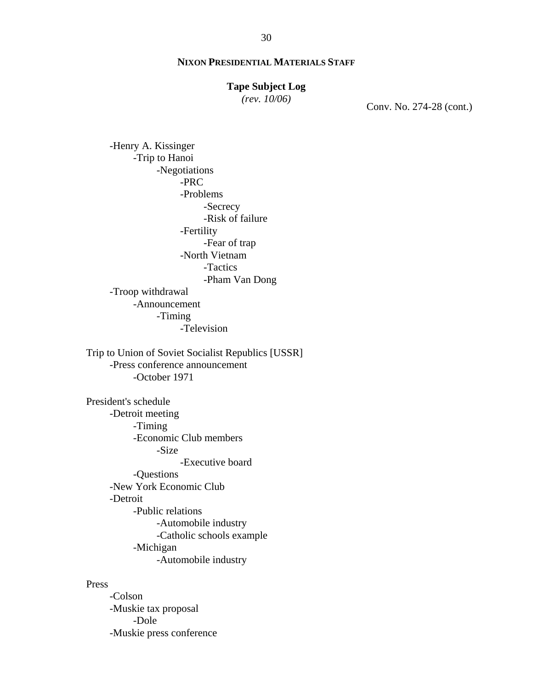#### **Tape Subject Log**

*(rev. 10/06)*

Conv. No. 274-28 (cont.)

-Henry A. Kissinger -Trip to Hanoi -Negotiations -PRC -Problems -Secrecy -Risk of failure -Fertility -Fear of trap -North Vietnam -Tactics -Pham Van Dong -Troop withdrawal -Announcement -Timing -Television Trip to Union of Soviet Socialist Republics [USSR] -Press conference announcement -October 1971 President's schedule -Detroit meeting -Timing -Economic Club members -Size -Executive board -Questions -New York Economic Club -Detroit -Public relations -Automobile industry -Catholic schools example -Michigan -Automobile industry

Press

-Colson -Muskie tax proposal -Dole -Muskie press conference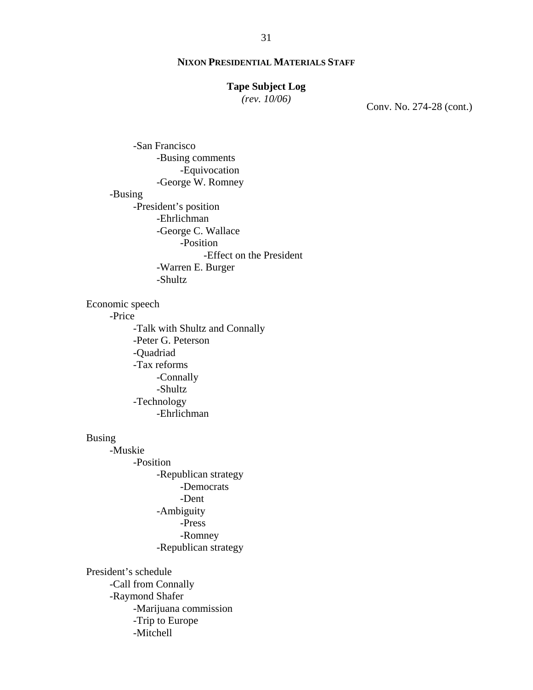#### **Tape Subject Log**

*(rev. 10/06)*

Conv. No. 274-28 (cont.)

-San Francisco -Busing comments -Equivocation -George W. Romney -Busing -President's position -Ehrlichman -George C. Wallace -Position -Effect on the President -Warren E. Burger -Shultz Economic speech -Price -Talk with Shultz and Connally -Peter G. Peterson -Quadriad -Tax reforms -Connally -Shultz -Technology -Ehrlichman Busing -Muskie -Position -Republican strategy -Democrats -Dent -Ambiguity -Press -Romney -Republican strategy President's schedule -Call from Connally -Raymond Shafer -Marijuana commission -Trip to Europe

-Mitchell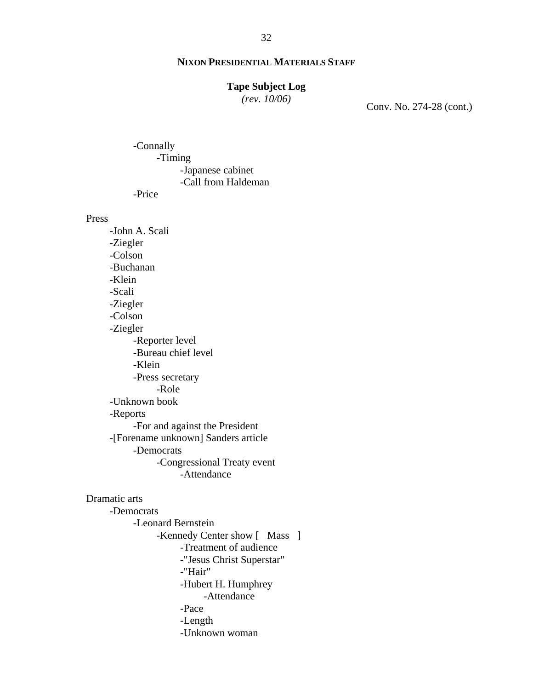# **Tape Subject Log**

*(rev. 10/06)*

Conv. No. 274-28 (cont.)

-Connally -Timing -Japanese cabinet -Call from Haldeman

-Price

Press

-John A. Scali -Ziegler -Colson -Buchanan -Klein -Scali -Ziegler -Colson -Ziegler -Reporter level -Bureau chief level -Klein -Press secretary -Role -Unknown book -Reports -For and against the President -[Forename unknown] Sanders article -Democrats -Congressional Treaty event -Attendance

Dramatic arts

-Democrats -Leonard Bernstein -Kennedy Center show [ Mass ] -Treatment of audience -"Jesus Christ Superstar" -"Hair" -Hubert H. Humphrey -Attendance -Pace -Length -Unknown woman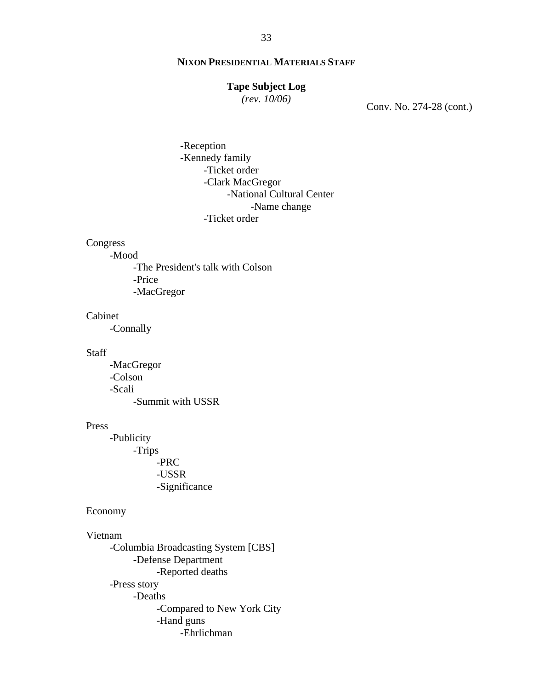#### **Tape Subject Log**

*(rev. 10/06)*

Conv. No. 274-28 (cont.)

-Reception -Kennedy family -Ticket order -Clark MacGregor -National Cultural Center -Name change -Ticket order

#### Congress

-Mood

-The President's talk with Colson -Price -MacGregor

#### Cabinet

-Connally

#### **Staff**

-MacGregor -Colson -Scali -Summit with USSR

#### Press

-Publicity -Trips -PRC -USSR -Significance

#### Economy

#### Vietnam

-Columbia Broadcasting System [CBS] -Defense Department -Reported deaths -Press story -Deaths -Compared to New York City -Hand guns -Ehrlichman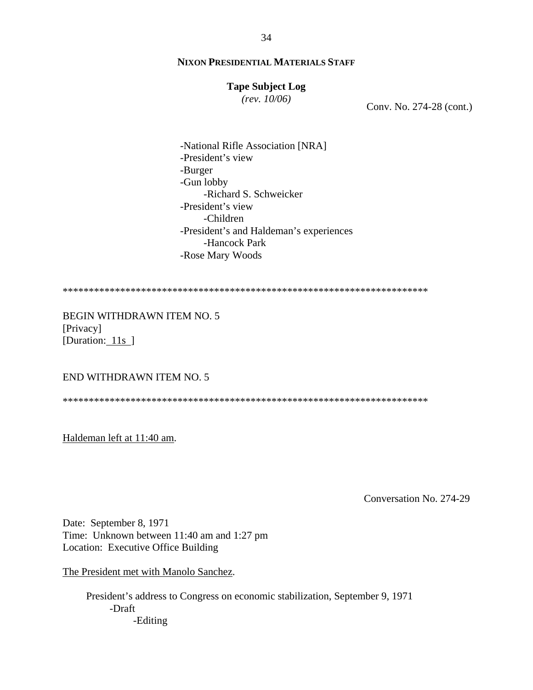# **Tape Subject Log**

*(rev. 10/06)*

Conv. No. 274-28 (cont.)

-National Rifle Association [NRA] -President's view -Burger -Gun lobby -Richard S. Schweicker -President's view -Children -President's and Haldeman's experiences -Hancock Park -Rose Mary Woods

\*\*\*\*\*\*\*\*\*\*\*\*\*\*\*\*\*\*\*\*\*\*\*\*\*\*\*\*\*\*\*\*\*\*\*\*\*\*\*\*\*\*\*\*\*\*\*\*\*\*\*\*\*\*\*\*\*\*\*\*\*\*\*\*\*\*\*\*\*\*

BEGIN WITHDRAWN ITEM NO. 5 [Privacy] [Duration: 11s]

#### END WITHDRAWN ITEM NO. 5

\*\*\*\*\*\*\*\*\*\*\*\*\*\*\*\*\*\*\*\*\*\*\*\*\*\*\*\*\*\*\*\*\*\*\*\*\*\*\*\*\*\*\*\*\*\*\*\*\*\*\*\*\*\*\*\*\*\*\*\*\*\*\*\*\*\*\*\*\*\*

Haldeman left at 11:40 am.

Conversation No. 274-29

Date: September 8, 1971 Time: Unknown between 11:40 am and 1:27 pm Location: Executive Office Building

The President met with Manolo Sanchez.

President's address to Congress on economic stabilization, September 9, 1971 -Draft -Editing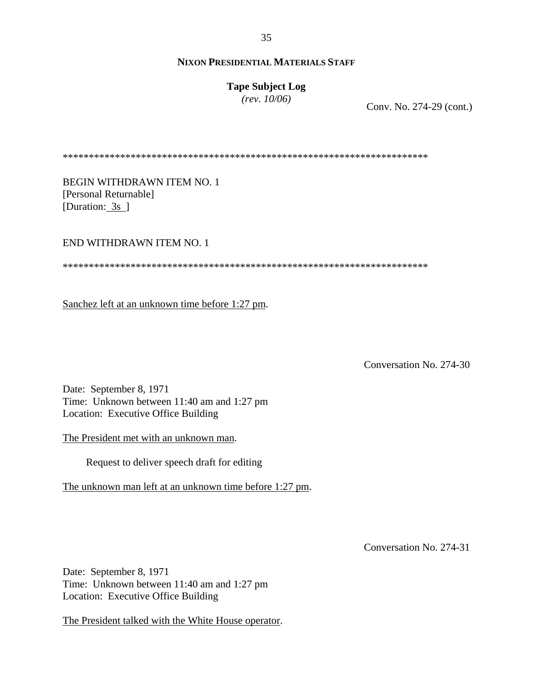**Tape Subject Log** *(rev. 10/06)*

Conv. No. 274-29 (cont.)

\*\*\*\*\*\*\*\*\*\*\*\*\*\*\*\*\*\*\*\*\*\*\*\*\*\*\*\*\*\*\*\*\*\*\*\*\*\*\*\*\*\*\*\*\*\*\*\*\*\*\*\*\*\*\*\*\*\*\*\*\*\*\*\*\*\*\*\*\*\*

BEGIN WITHDRAWN ITEM NO. 1 [Personal Returnable] [Duration: 3s ]

#### END WITHDRAWN ITEM NO. 1

\*\*\*\*\*\*\*\*\*\*\*\*\*\*\*\*\*\*\*\*\*\*\*\*\*\*\*\*\*\*\*\*\*\*\*\*\*\*\*\*\*\*\*\*\*\*\*\*\*\*\*\*\*\*\*\*\*\*\*\*\*\*\*\*\*\*\*\*\*\*

Sanchez left at an unknown time before 1:27 pm.

Conversation No. 274-30

Date: September 8, 1971 Time: Unknown between 11:40 am and 1:27 pm Location: Executive Office Building

The President met with an unknown man.

Request to deliver speech draft for editing

The unknown man left at an unknown time before 1:27 pm.

Conversation No. 274-31

Date: September 8, 1971 Time: Unknown between 11:40 am and 1:27 pm Location: Executive Office Building

The President talked with the White House operator.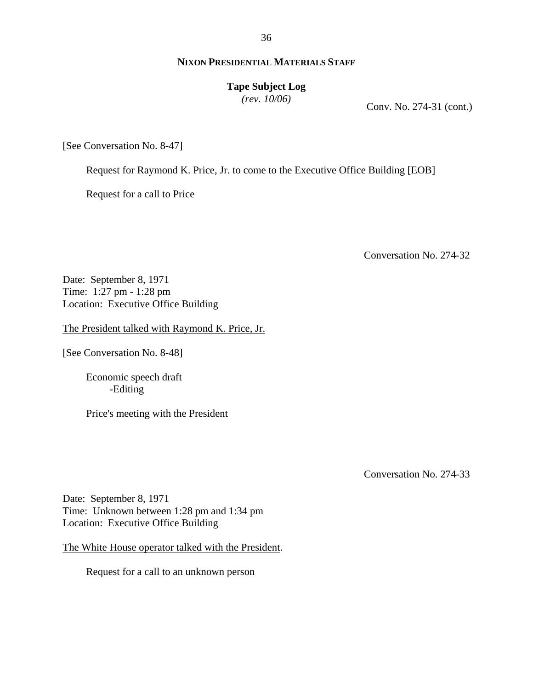# **Tape Subject Log**

*(rev. 10/06)*

Conv. No. 274-31 (cont.)

[See Conversation No. 8-47]

Request for Raymond K. Price, Jr. to come to the Executive Office Building [EOB]

Request for a call to Price

Conversation No. 274-32

Date: September 8, 1971 Time: 1:27 pm - 1:28 pm Location: Executive Office Building

The President talked with Raymond K. Price, Jr.

[See Conversation No. 8-48]

Economic speech draft -Editing

Price's meeting with the President

Conversation No. 274-33

Date: September 8, 1971 Time: Unknown between 1:28 pm and 1:34 pm Location: Executive Office Building

The White House operator talked with the President.

Request for a call to an unknown person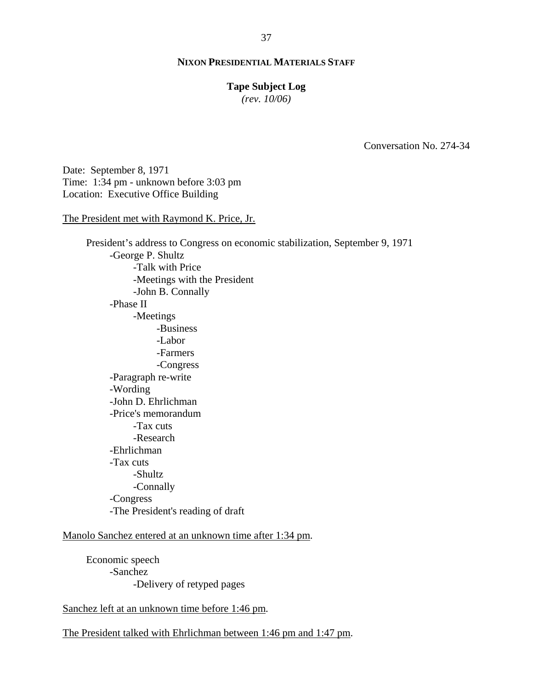#### **Tape Subject Log**

*(rev. 10/06)*

Conversation No. 274-34

Date: September 8, 1971 Time: 1:34 pm - unknown before 3:03 pm Location: Executive Office Building

#### The President met with Raymond K. Price, Jr.

President's address to Congress on economic stabilization, September 9, 1971 -George P. Shultz -Talk with Price -Meetings with the President -John B. Connally -Phase II -Meetings -Business -Labor -Farmers -Congress -Paragraph re-write -Wording -John D. Ehrlichman -Price's memorandum -Tax cuts -Research -Ehrlichman -Tax cuts -Shultz -Connally -Congress -The President's reading of draft

#### Manolo Sanchez entered at an unknown time after 1:34 pm.

Economic speech -Sanchez -Delivery of retyped pages

Sanchez left at an unknown time before 1:46 pm.

The President talked with Ehrlichman between 1:46 pm and 1:47 pm.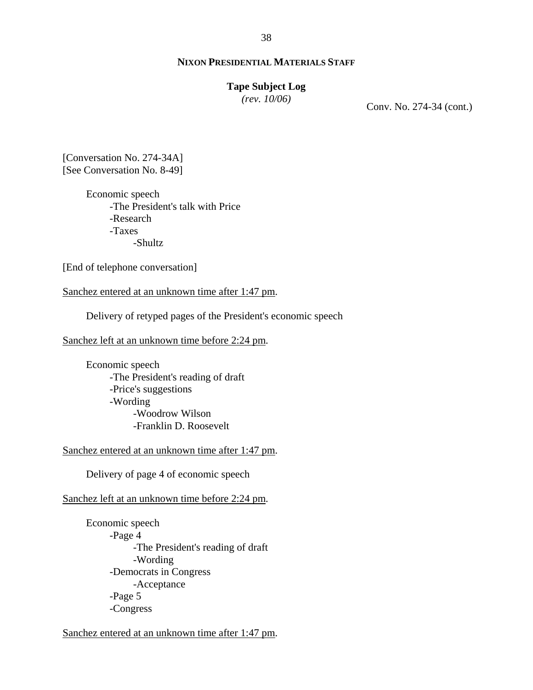#### **Tape Subject Log**

*(rev. 10/06)*

Conv. No. 274-34 (cont.)

[Conversation No. 274-34A] [See Conversation No. 8-49]

> Economic speech -The President's talk with Price -Research -Taxes -Shultz

[End of telephone conversation]

Sanchez entered at an unknown time after 1:47 pm.

Delivery of retyped pages of the President's economic speech

Sanchez left at an unknown time before 2:24 pm.

Economic speech -The President's reading of draft -Price's suggestions -Wording -Woodrow Wilson -Franklin D. Roosevelt

Sanchez entered at an unknown time after 1:47 pm.

Delivery of page 4 of economic speech

Sanchez left at an unknown time before 2:24 pm.

Economic speech -Page 4 -The President's reading of draft -Wording -Democrats in Congress -Acceptance -Page 5 -Congress

Sanchez entered at an unknown time after 1:47 pm.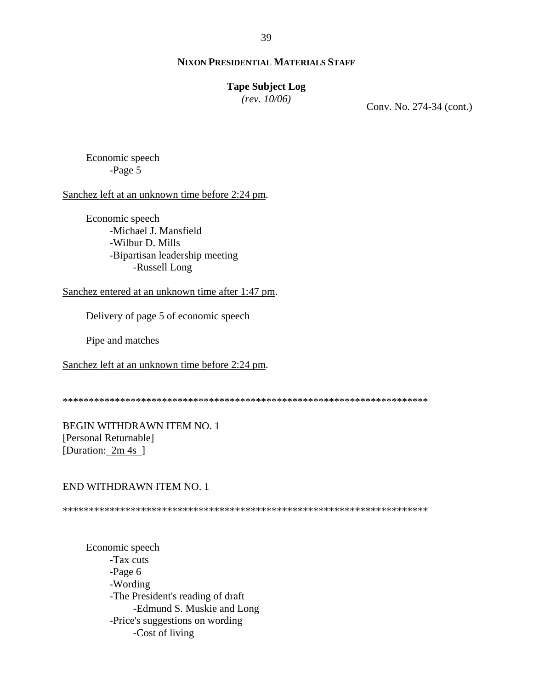#### **Tape Subject Log**

*(rev. 10/06)*

Conv. No. 274-34 (cont.)

Economic speech -Page 5

Sanchez left at an unknown time before 2:24 pm.

Economic speech -Michael J. Mansfield -Wilbur D. Mills -Bipartisan leadership meeting -Russell Long

Sanchez entered at an unknown time after 1:47 pm.

Delivery of page 5 of economic speech

Pipe and matches

Sanchez left at an unknown time before 2:24 pm.

\*\*\*\*\*\*\*\*\*\*\*\*\*\*\*\*\*\*\*\*\*\*\*\*\*\*\*\*\*\*\*\*\*\*\*\*\*\*\*\*\*\*\*\*\*\*\*\*\*\*\*\*\*\*\*\*\*\*\*\*\*\*\*\*\*\*\*\*\*\*

BEGIN WITHDRAWN ITEM NO. 1 [Personal Returnable] [Duration: 2m 4s ]

#### END WITHDRAWN ITEM NO. 1

\*\*\*\*\*\*\*\*\*\*\*\*\*\*\*\*\*\*\*\*\*\*\*\*\*\*\*\*\*\*\*\*\*\*\*\*\*\*\*\*\*\*\*\*\*\*\*\*\*\*\*\*\*\*\*\*\*\*\*\*\*\*\*\*\*\*\*\*\*\*

Economic speech -Tax cuts -Page 6 -Wording -The President's reading of draft -Edmund S. Muskie and Long -Price's suggestions on wording -Cost of living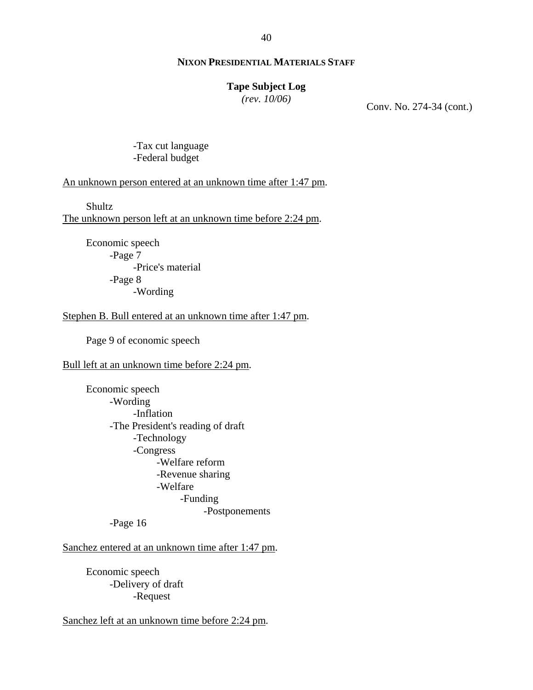# **Tape Subject Log**

*(rev. 10/06)*

Conv. No. 274-34 (cont.)

-Tax cut language -Federal budget

An unknown person entered at an unknown time after 1:47 pm.

**Shultz** 

The unknown person left at an unknown time before 2:24 pm.

Economic speech -Page 7 -Price's material -Page 8 -Wording

Stephen B. Bull entered at an unknown time after 1:47 pm.

Page 9 of economic speech

Bull left at an unknown time before 2:24 pm.

Economic speech -Wording -Inflation -The President's reading of draft -Technology -Congress -Welfare reform -Revenue sharing -Welfare -Funding -Postponements

-Page 16

Sanchez entered at an unknown time after 1:47 pm.

Economic speech -Delivery of draft -Request

Sanchez left at an unknown time before 2:24 pm.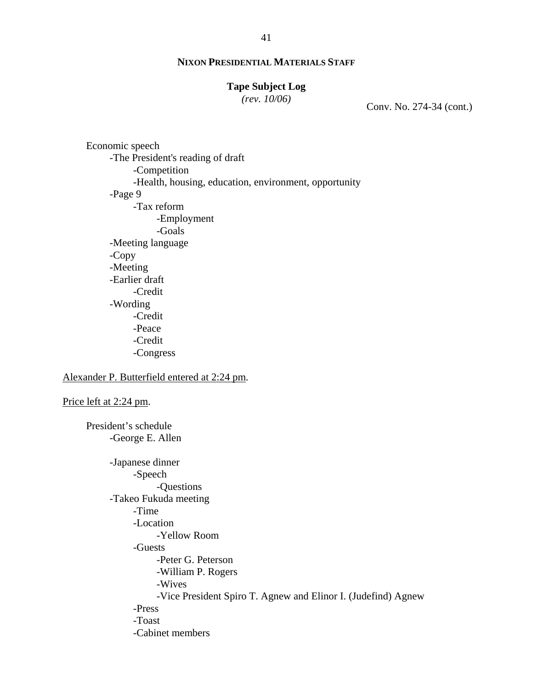# **Tape Subject Log**

*(rev. 10/06)*

Conv. No. 274-34 (cont.)

Economic speech -The President's reading of draft -Competition -Health, housing, education, environment, opportunity -Page 9 -Tax reform -Employment -Goals -Meeting language -Copy -Meeting -Earlier draft -Credit -Wording -Credit -Peace -Credit -Congress Alexander P. Butterfield entered at 2:24 pm. Price left at 2:24 pm.

President's schedule -George E. Allen -Japanese dinner -Speech -Questions -Takeo Fukuda meeting -Time -Location -Yellow Room -Guests -Peter G. Peterson -William P. Rogers -Wives -Vice President Spiro T. Agnew and Elinor I. (Judefind) Agnew -Press -Toast -Cabinet members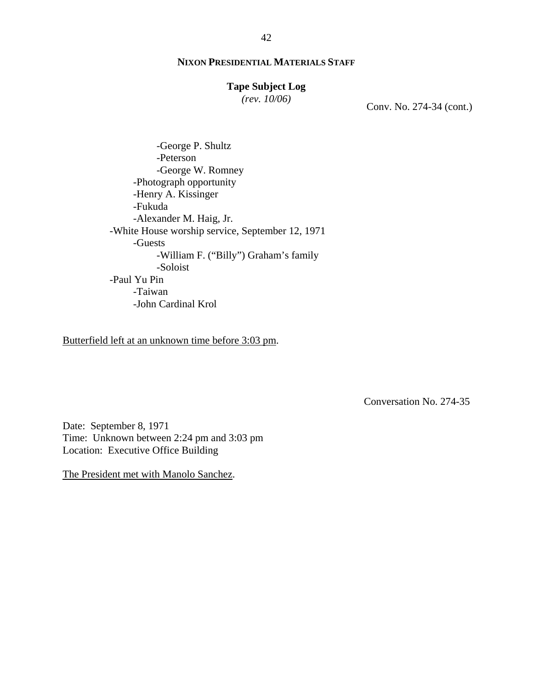# **Tape Subject Log**

*(rev. 10/06)*

Conv. No. 274-34 (cont.)

-George P. Shultz -Peterson -George W. Romney -Photograph opportunity -Henry A. Kissinger -Fukuda -Alexander M. Haig, Jr. -White House worship service, September 12, 1971 -Guests -William F. ("Billy") Graham's family -Soloist -Paul Yu Pin -Taiwan -John Cardinal Krol

Butterfield left at an unknown time before 3:03 pm.

Conversation No. 274-35

Date: September 8, 1971 Time: Unknown between 2:24 pm and 3:03 pm Location: Executive Office Building

The President met with Manolo Sanchez.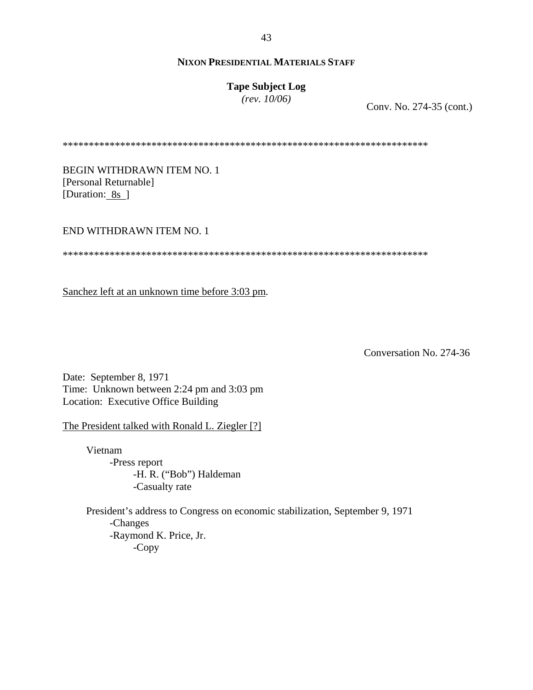# **Tape Subject Log**

*(rev. 10/06)*

Conv. No. 274-35 (cont.)

\*\*\*\*\*\*\*\*\*\*\*\*\*\*\*\*\*\*\*\*\*\*\*\*\*\*\*\*\*\*\*\*\*\*\*\*\*\*\*\*\*\*\*\*\*\*\*\*\*\*\*\*\*\*\*\*\*\*\*\*\*\*\*\*\*\*\*\*\*\*

BEGIN WITHDRAWN ITEM NO. 1 [Personal Returnable] [Duration: 8s ]

END WITHDRAWN ITEM NO. 1

\*\*\*\*\*\*\*\*\*\*\*\*\*\*\*\*\*\*\*\*\*\*\*\*\*\*\*\*\*\*\*\*\*\*\*\*\*\*\*\*\*\*\*\*\*\*\*\*\*\*\*\*\*\*\*\*\*\*\*\*\*\*\*\*\*\*\*\*\*\*

Sanchez left at an unknown time before 3:03 pm.

Conversation No. 274-36

Date: September 8, 1971 Time: Unknown between 2:24 pm and 3:03 pm Location: Executive Office Building

The President talked with Ronald L. Ziegler [?]

Vietnam -Press report -H. R. ("Bob") Haldeman -Casualty rate

President's address to Congress on economic stabilization, September 9, 1971 -Changes -Raymond K. Price, Jr. -Copy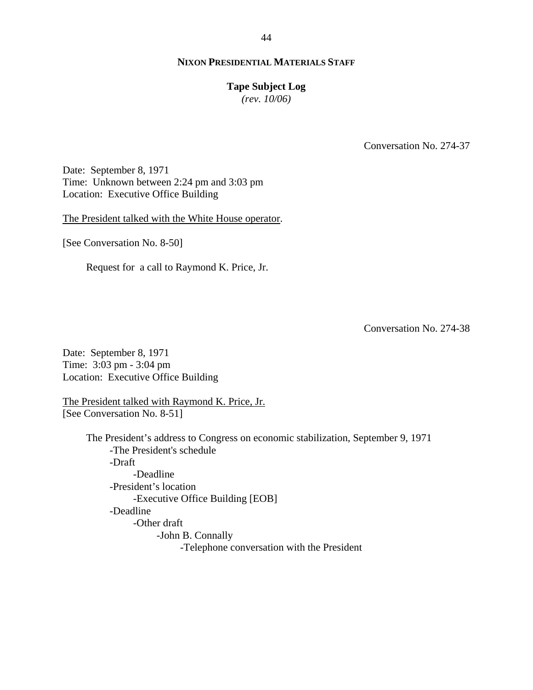#### **Tape Subject Log**

*(rev. 10/06)*

Conversation No. 274-37

Date: September 8, 1971 Time: Unknown between 2:24 pm and 3:03 pm Location: Executive Office Building

The President talked with the White House operator.

[See Conversation No. 8-50]

Request for a call to Raymond K. Price, Jr.

Conversation No. 274-38

Date: September 8, 1971 Time: 3:03 pm - 3:04 pm Location: Executive Office Building

The President talked with Raymond K. Price, Jr. [See Conversation No. 8-51]

> The President's address to Congress on economic stabilization, September 9, 1971 -The President's schedule -Draft -Deadline -President's location -Executive Office Building [EOB] -Deadline -Other draft -John B. Connally -Telephone conversation with the President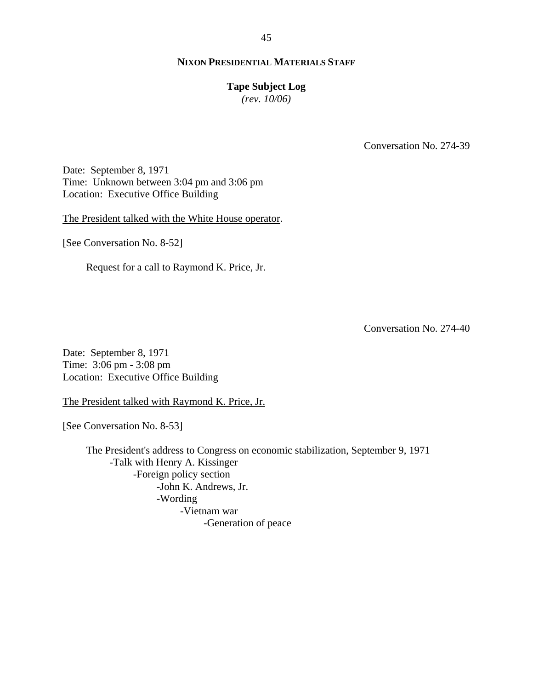#### **Tape Subject Log**

*(rev. 10/06)*

Conversation No. 274-39

Date: September 8, 1971 Time: Unknown between 3:04 pm and 3:06 pm Location: Executive Office Building

The President talked with the White House operator.

[See Conversation No. 8-52]

Request for a call to Raymond K. Price, Jr.

Conversation No. 274-40

Date: September 8, 1971 Time: 3:06 pm - 3:08 pm Location: Executive Office Building

The President talked with Raymond K. Price, Jr.

[See Conversation No. 8-53]

The President's address to Congress on economic stabilization, September 9, 1971 -Talk with Henry A. Kissinger -Foreign policy section -John K. Andrews, Jr. -Wording -Vietnam war -Generation of peace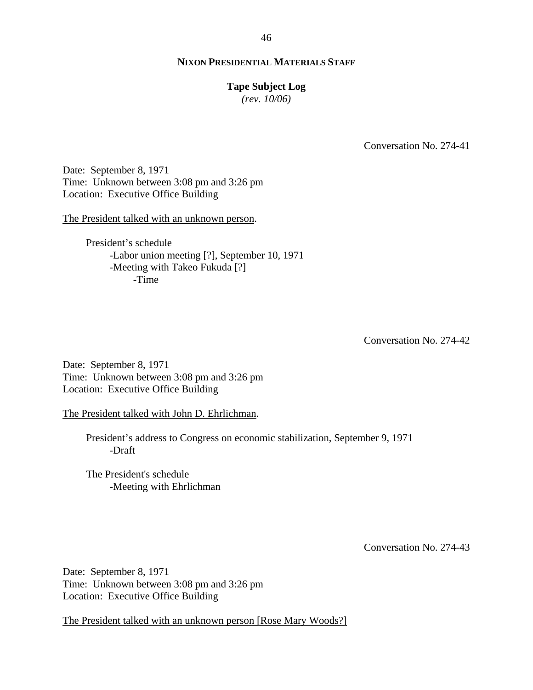#### **Tape Subject Log**

*(rev. 10/06)*

Conversation No. 274-41

Date: September 8, 1971 Time: Unknown between 3:08 pm and 3:26 pm Location: Executive Office Building

The President talked with an unknown person.

President's schedule -Labor union meeting [?], September 10, 1971 -Meeting with Takeo Fukuda [?] -Time

Conversation No. 274-42

Date: September 8, 1971 Time: Unknown between 3:08 pm and 3:26 pm Location: Executive Office Building

The President talked with John D. Ehrlichman.

President's address to Congress on economic stabilization, September 9, 1971 -Draft

The President's schedule -Meeting with Ehrlichman

Conversation No. 274-43

Date: September 8, 1971 Time: Unknown between 3:08 pm and 3:26 pm Location: Executive Office Building

The President talked with an unknown person [Rose Mary Woods?]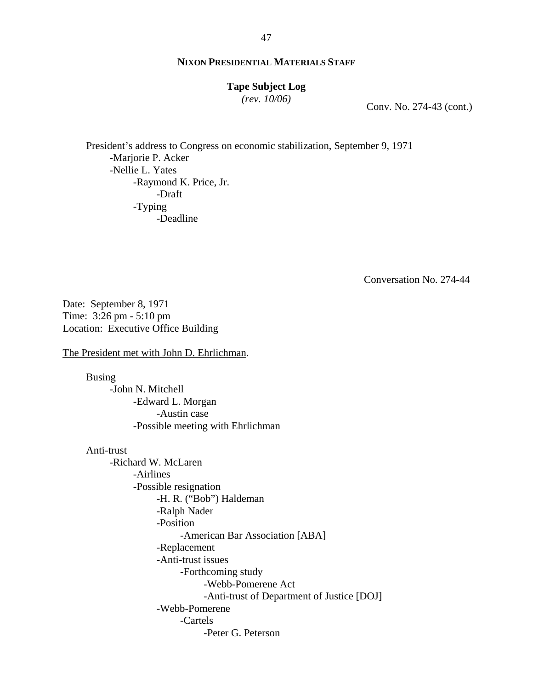#### **Tape Subject Log**

*(rev. 10/06)*

Conv. No. 274-43 (cont.)

President's address to Congress on economic stabilization, September 9, 1971 -Marjorie P. Acker -Nellie L. Yates -Raymond K. Price, Jr. -Draft -Typing -Deadline

Conversation No. 274-44

Date: September 8, 1971 Time: 3:26 pm - 5:10 pm Location: Executive Office Building

The President met with John D. Ehrlichman.

Busing -John N. Mitchell -Edward L. Morgan -Austin case -Possible meeting with Ehrlichman

Anti-trust -Richard W. McLaren -Airlines -Possible resignation -H. R. ("Bob") Haldeman -Ralph Nader -Position -American Bar Association [ABA] -Replacement -Anti-trust issues -Forthcoming study -Webb-Pomerene Act -Anti-trust of Department of Justice [DOJ] -Webb-Pomerene -Cartels -Peter G. Peterson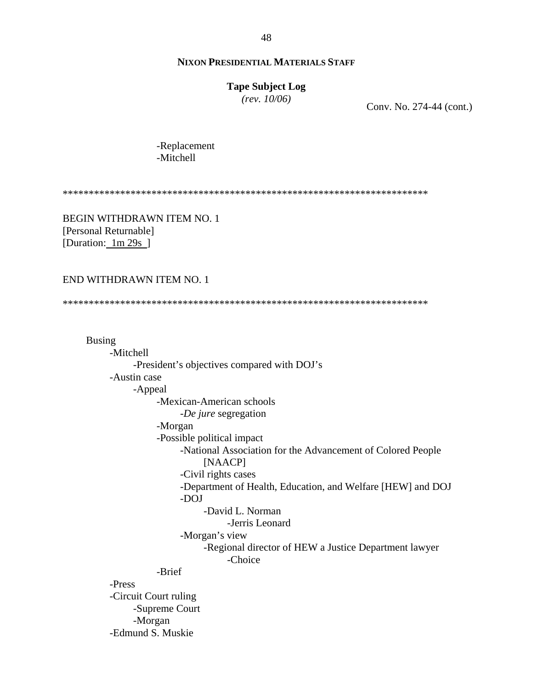#### **Tape Subject Log**

*(rev. 10/06)*

Conv. No. 274-44 (cont.)

-Replacement -Mitchell

\*\*\*\*\*\*\*\*\*\*\*\*\*\*\*\*\*\*\*\*\*\*\*\*\*\*\*\*\*\*\*\*\*\*\*\*\*\*\*\*\*\*\*\*\*\*\*\*\*\*\*\*\*\*\*\*\*\*\*\*\*\*\*\*\*\*\*\*\*\*

BEGIN WITHDRAWN ITEM NO. 1 [Personal Returnable] [Duration:  $1m 29s$ ]

#### END WITHDRAWN ITEM NO. 1

\*\*\*\*\*\*\*\*\*\*\*\*\*\*\*\*\*\*\*\*\*\*\*\*\*\*\*\*\*\*\*\*\*\*\*\*\*\*\*\*\*\*\*\*\*\*\*\*\*\*\*\*\*\*\*\*\*\*\*\*\*\*\*\*\*\*\*\*\*\*

Busing -Mitchell -President's objectives compared with DOJ's -Austin case -Appeal -Mexican-American schools -*De jure* segregation -Morgan -Possible political impact -National Association for the Advancement of Colored People [NAACP] -Civil rights cases -Department of Health, Education, and Welfare [HEW] and DOJ -DOJ -David L. Norman -Jerris Leonard -Morgan's view -Regional director of HEW a Justice Department lawyer -Choice -Brief -Press -Circuit Court ruling -Supreme Court -Morgan -Edmund S. Muskie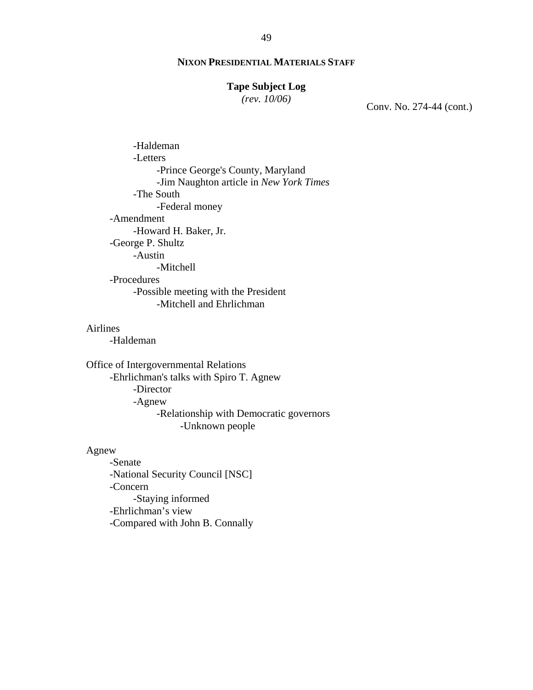# **Tape Subject Log**

*(rev. 10/06)*

Conv. No. 274-44 (cont.)

-Haldeman -Letters -Prince George's County, Maryland -Jim Naughton article in *New York Times* -The South -Federal money -Amendment -Howard H. Baker, Jr. -George P. Shultz -Austin -Mitchell -Procedures -Possible meeting with the President -Mitchell and Ehrlichman

# Airlines

-Haldeman

Office of Intergovernmental Relations -Ehrlichman's talks with Spiro T. Agnew -Director -Agnew -Relationship with Democratic governors -Unknown people

#### Agnew

-Senate -National Security Council [NSC] -Concern -Staying informed -Ehrlichman's view -Compared with John B. Connally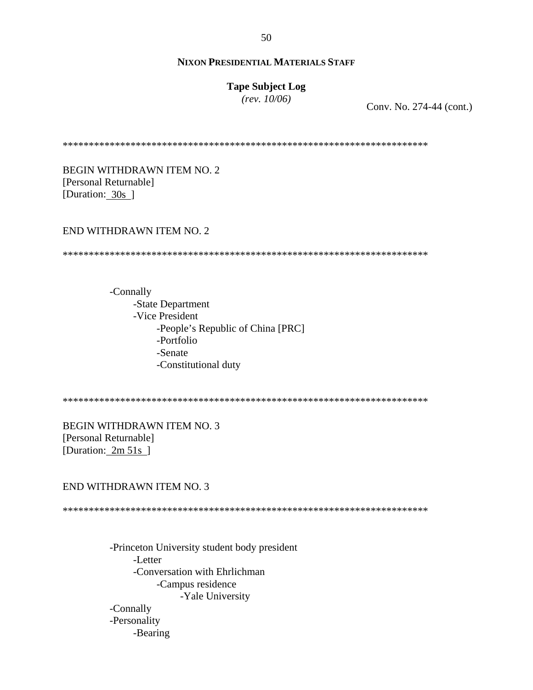# **Tape Subject Log**

*(rev. 10/06)*

Conv. No. 274-44 (cont.)

\*\*\*\*\*\*\*\*\*\*\*\*\*\*\*\*\*\*\*\*\*\*\*\*\*\*\*\*\*\*\*\*\*\*\*\*\*\*\*\*\*\*\*\*\*\*\*\*\*\*\*\*\*\*\*\*\*\*\*\*\*\*\*\*\*\*\*\*\*\*

BEGIN WITHDRAWN ITEM NO. 2 [Personal Returnable] [Duration: 30s]

#### END WITHDRAWN ITEM NO. 2

\*\*\*\*\*\*\*\*\*\*\*\*\*\*\*\*\*\*\*\*\*\*\*\*\*\*\*\*\*\*\*\*\*\*\*\*\*\*\*\*\*\*\*\*\*\*\*\*\*\*\*\*\*\*\*\*\*\*\*\*\*\*\*\*\*\*\*\*\*\*

-Connally -State Department -Vice President -People's Republic of China [PRC] -Portfolio -Senate -Constitutional duty

\*\*\*\*\*\*\*\*\*\*\*\*\*\*\*\*\*\*\*\*\*\*\*\*\*\*\*\*\*\*\*\*\*\*\*\*\*\*\*\*\*\*\*\*\*\*\*\*\*\*\*\*\*\*\*\*\*\*\*\*\*\*\*\*\*\*\*\*\*\*

BEGIN WITHDRAWN ITEM NO. 3 [Personal Returnable] [Duration: 2m 51s ]

#### END WITHDRAWN ITEM NO. 3

\*\*\*\*\*\*\*\*\*\*\*\*\*\*\*\*\*\*\*\*\*\*\*\*\*\*\*\*\*\*\*\*\*\*\*\*\*\*\*\*\*\*\*\*\*\*\*\*\*\*\*\*\*\*\*\*\*\*\*\*\*\*\*\*\*\*\*\*\*\*

-Princeton University student body president -Letter -Conversation with Ehrlichman -Campus residence -Yale University -Connally -Personality -Bearing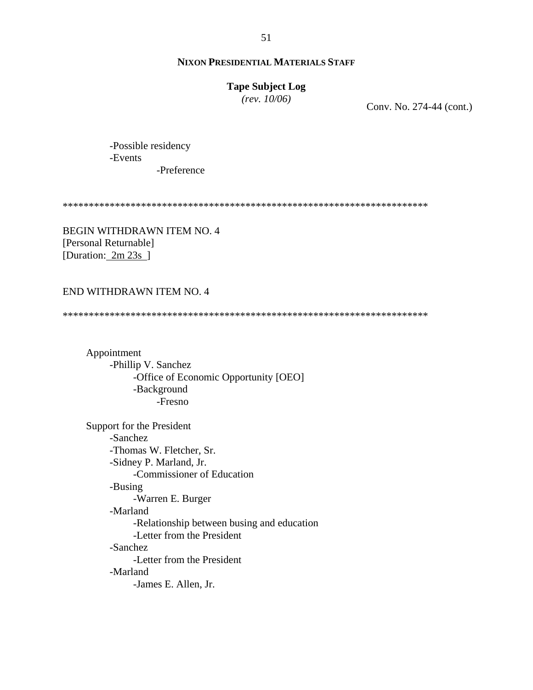# **Tape Subject Log**

*(rev. 10/06)*

Conv. No. 274-44 (cont.)

-Possible residency -Events -Preference

\*\*\*\*\*\*\*\*\*\*\*\*\*\*\*\*\*\*\*\*\*\*\*\*\*\*\*\*\*\*\*\*\*\*\*\*\*\*\*\*\*\*\*\*\*\*\*\*\*\*\*\*\*\*\*\*\*\*\*\*\*\*\*\*\*\*\*\*\*\*

BEGIN WITHDRAWN ITEM NO. 4 [Personal Returnable] [Duration: 2m 23s]

#### END WITHDRAWN ITEM NO. 4

\*\*\*\*\*\*\*\*\*\*\*\*\*\*\*\*\*\*\*\*\*\*\*\*\*\*\*\*\*\*\*\*\*\*\*\*\*\*\*\*\*\*\*\*\*\*\*\*\*\*\*\*\*\*\*\*\*\*\*\*\*\*\*\*\*\*\*\*\*\*

Appointment -Phillip V. Sanchez -Office of Economic Opportunity [OEO] -Background -Fresno

Support for the President -Sanchez -Thomas W. Fletcher, Sr. -Sidney P. Marland, Jr. -Commissioner of Education -Busing -Warren E. Burger -Marland -Relationship between busing and education -Letter from the President -Sanchez -Letter from the President -Marland -James E. Allen, Jr.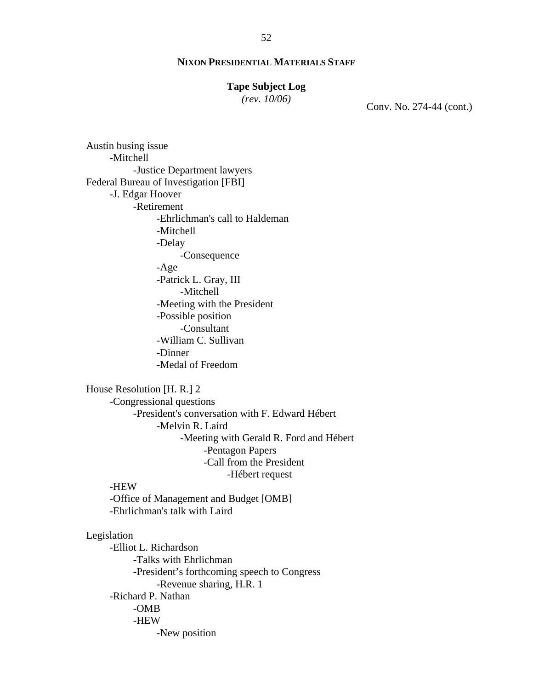# **Tape Subject Log**

*(rev. 10/06)*

Conv. No. 274-44 (cont.)

Austin busing issue -Mitchell -Justice Department lawyers Federal Bureau of Investigation [FBI] -J. Edgar Hoover -Retirement -Ehrlichman's call to Haldeman -Mitchell -Delay -Consequence -Age -Patrick L. Gray, III -Mitchell -Meeting with the President -Possible position -Consultant -William C. Sullivan -Dinner -Medal of Freedom House Resolution [H. R.] 2 -Congressional questions -President's conversation with F. Edward Hébert -Melvin R. Laird -Meeting with Gerald R. Ford and Hébert -Pentagon Papers -Call from the President -Hébert request -HEW -Office of Management and Budget [OMB] -Ehrlichman's talk with Laird Legislation -Elliot L. Richardson

-Talks with Ehrlichman -President's forthcoming speech to Congress -Revenue sharing, H.R. 1 -Richard P. Nathan -OMB -HEW -New position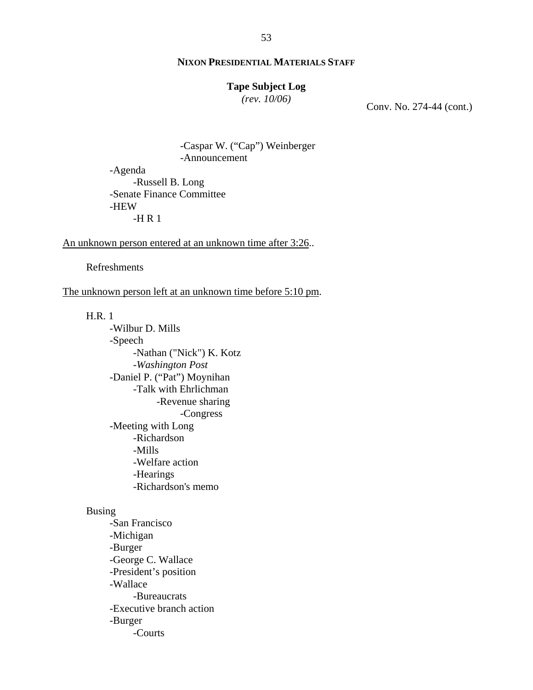# **Tape Subject Log**

*(rev. 10/06)*

Conv. No. 274-44 (cont.)

-Caspar W. ("Cap") Weinberger -Announcement

-Agenda -Russell B. Long -Senate Finance Committee -HEW  $-H R 1$ 

#### An unknown person entered at an unknown time after 3:26..

Refreshments

The unknown person left at an unknown time before 5:10 pm.

H.R. 1

-Wilbur D. Mills -Speech -Nathan ("Nick") K. Kotz -*Washington Post* -Daniel P. ("Pat") Moynihan -Talk with Ehrlichman -Revenue sharing -Congress -Meeting with Long -Richardson -Mills -Welfare action -Hearings -Richardson's memo

#### Busing

-San Francisco -Michigan -Burger -George C. Wallace -President's position -Wallace -Bureaucrats -Executive branch action -Burger -Courts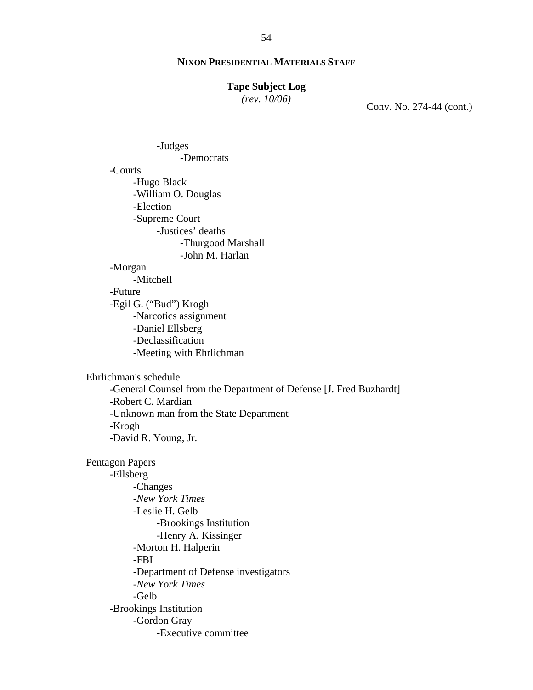# **Tape Subject Log**

*(rev. 10/06)*

Conv. No. 274-44 (cont.)

-Judges -Democrats -Courts -Hugo Black -William O. Douglas -Election -Supreme Court -Justices' deaths -Thurgood Marshall -John M. Harlan -Morgan -Mitchell -Future -Egil G. ("Bud") Krogh -Narcotics assignment -Daniel Ellsberg -Declassification -Meeting with Ehrlichman Ehrlichman's schedule -General Counsel from the Department of Defense [J. Fred Buzhardt] -Robert C. Mardian -Unknown man from the State Department -Krogh -David R. Young, Jr. Pentagon Papers -Ellsberg -Changes -*New York Times* -Leslie H. Gelb -Brookings Institution -Henry A. Kissinger -Morton H. Halperin -FBI -Department of Defense investigators -*New York Times* -Gelb -Brookings Institution -Gordon Gray -Executive committee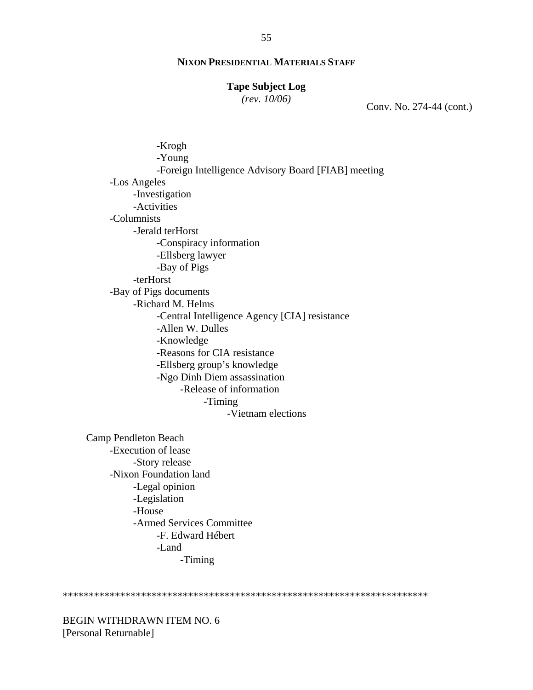#### **Tape Subject Log**

*(rev. 10/06)*

Conv. No. 274-44 (cont.)

-Krogh -Young -Foreign Intelligence Advisory Board [FIAB] meeting -Los Angeles -Investigation -Activities -Columnists -Jerald terHorst -Conspiracy information -Ellsberg lawyer -Bay of Pigs -terHorst -Bay of Pigs documents -Richard M. Helms -Central Intelligence Agency [CIA] resistance -Allen W. Dulles -Knowledge -Reasons for CIA resistance -Ellsberg group's knowledge -Ngo Dinh Diem assassination -Release of information -Timing -Vietnam elections Camp Pendleton Beach -Execution of lease

-Story release -Nixon Foundation land -Legal opinion -Legislation -House -Armed Services Committee -F. Edward Hébert -Land -Timing

\*\*\*\*\*\*\*\*\*\*\*\*\*\*\*\*\*\*\*\*\*\*\*\*\*\*\*\*\*\*\*\*\*\*\*\*\*\*\*\*\*\*\*\*\*\*\*\*\*\*\*\*\*\*\*\*\*\*\*\*\*\*\*\*\*\*\*\*\*\*

BEGIN WITHDRAWN ITEM NO. 6 [Personal Returnable]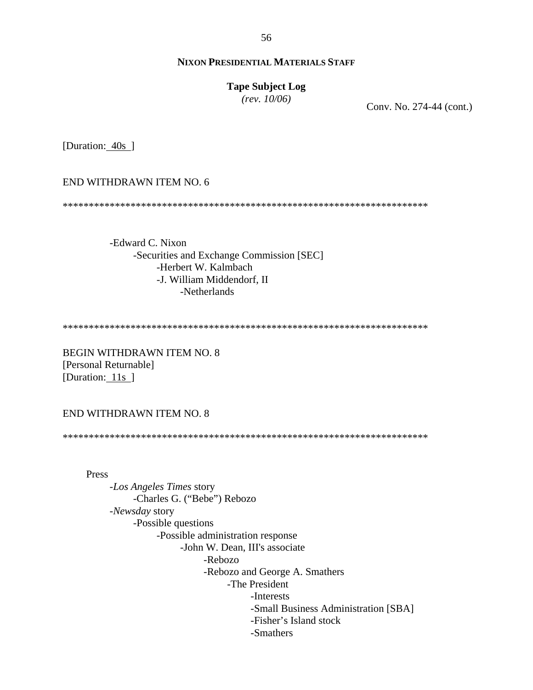56

# **NIXON PRESIDENTIAL MATERIALS STAFF**

#### **Tape Subject Log**

*(rev. 10/06)*

Conv. No. 274-44 (cont.)

[Duration: 40s ]

END WITHDRAWN ITEM NO. 6

\*\*\*\*\*\*\*\*\*\*\*\*\*\*\*\*\*\*\*\*\*\*\*\*\*\*\*\*\*\*\*\*\*\*\*\*\*\*\*\*\*\*\*\*\*\*\*\*\*\*\*\*\*\*\*\*\*\*\*\*\*\*\*\*\*\*\*\*\*\*

-Edward C. Nixon -Securities and Exchange Commission [SEC] -Herbert W. Kalmbach -J. William Middendorf, II -Netherlands

\*\*\*\*\*\*\*\*\*\*\*\*\*\*\*\*\*\*\*\*\*\*\*\*\*\*\*\*\*\*\*\*\*\*\*\*\*\*\*\*\*\*\*\*\*\*\*\*\*\*\*\*\*\*\*\*\*\*\*\*\*\*\*\*\*\*\*\*\*\*

BEGIN WITHDRAWN ITEM NO. 8 [Personal Returnable] [Duration: 11s ]

END WITHDRAWN ITEM NO. 8

\*\*\*\*\*\*\*\*\*\*\*\*\*\*\*\*\*\*\*\*\*\*\*\*\*\*\*\*\*\*\*\*\*\*\*\*\*\*\*\*\*\*\*\*\*\*\*\*\*\*\*\*\*\*\*\*\*\*\*\*\*\*\*\*\*\*\*\*\*\*

Press

-*Los Angeles Times* story -Charles G. ("Bebe") Rebozo -*Newsday* story -Possible questions -Possible administration response -John W. Dean, III's associate -Rebozo -Rebozo and George A. Smathers -The President -Interests -Small Business Administration [SBA] -Fisher's Island stock -Smathers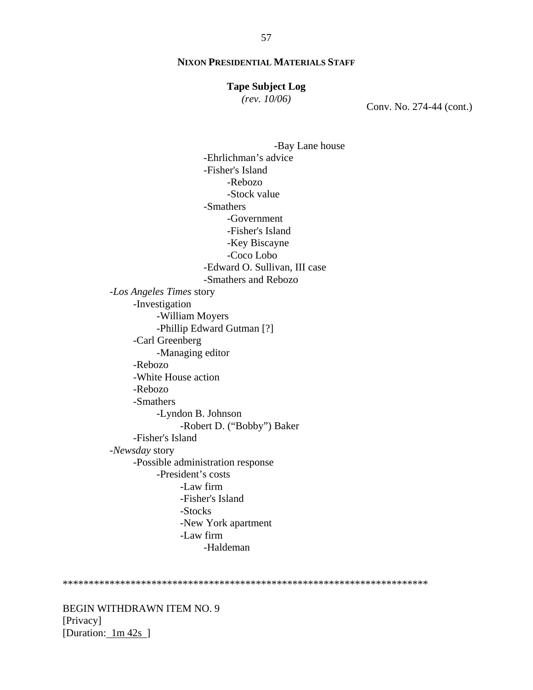#### **Tape Subject Log**

*(rev. 10/06)*

Conv. No. 274-44 (cont.)

-Bay Lane house -Ehrlichman's advice -Fisher's Island -Rebozo -Stock value -Smathers -Government -Fisher's Island -Key Biscayne -Coco Lobo -Edward O. Sullivan, III case -Smathers and Rebozo -*Los Angeles Times* story -Investigation -William Moyers -Phillip Edward Gutman [?] -Carl Greenberg -Managing editor -Rebozo -White House action -Rebozo -Smathers -Lyndon B. Johnson -Robert D. ("Bobby") Baker -Fisher's Island -*Newsday* story -Possible administration response -President's costs -Law firm -Fisher's Island -Stocks -New York apartment -Law firm -Haldeman

\*\*\*\*\*\*\*\*\*\*\*\*\*\*\*\*\*\*\*\*\*\*\*\*\*\*\*\*\*\*\*\*\*\*\*\*\*\*\*\*\*\*\*\*\*\*\*\*\*\*\*\*\*\*\*\*\*\*\*\*\*\*\*\*\*\*\*\*\*\*

BEGIN WITHDRAWN ITEM NO. 9 [Privacy] [Duration: 1m 42s ]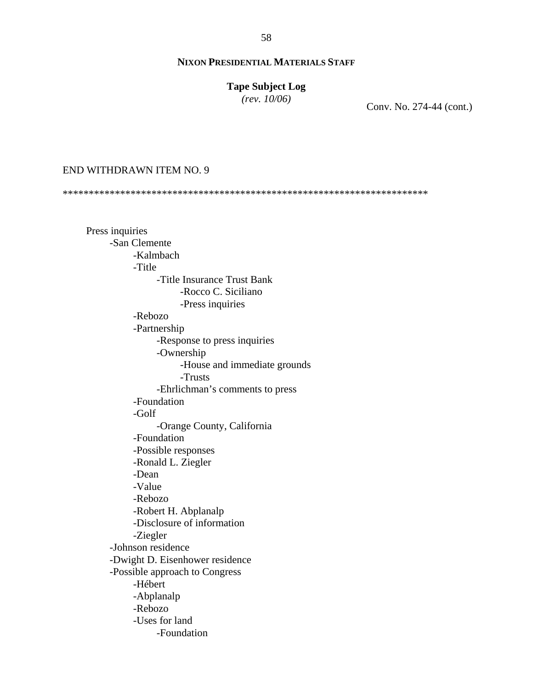# **Tape Subject Log**

*(rev. 10/06)*

Conv. No. 274-44 (cont.)

#### END WITHDRAWN ITEM NO. 9

\*\*\*\*\*\*\*\*\*\*\*\*\*\*\*\*\*\*\*\*\*\*\*\*\*\*\*\*\*\*\*\*\*\*\*\*\*\*\*\*\*\*\*\*\*\*\*\*\*\*\*\*\*\*\*\*\*\*\*\*\*\*\*\*\*\*\*\*\*\*

Press inquiries -San Clemente -Kalmbach -Title -Title Insurance Trust Bank -Rocco C. Siciliano -Press inquiries -Rebozo -Partnership -Response to press inquiries -Ownership -House and immediate grounds -Trusts -Ehrlichman's comments to press -Foundation -Golf -Orange County, California -Foundation -Possible responses -Ronald L. Ziegler -Dean -Value -Rebozo -Robert H. Abplanalp -Disclosure of information -Ziegler -Johnson residence -Dwight D. Eisenhower residence -Possible approach to Congress -Hébert -Abplanalp -Rebozo -Uses for land -Foundation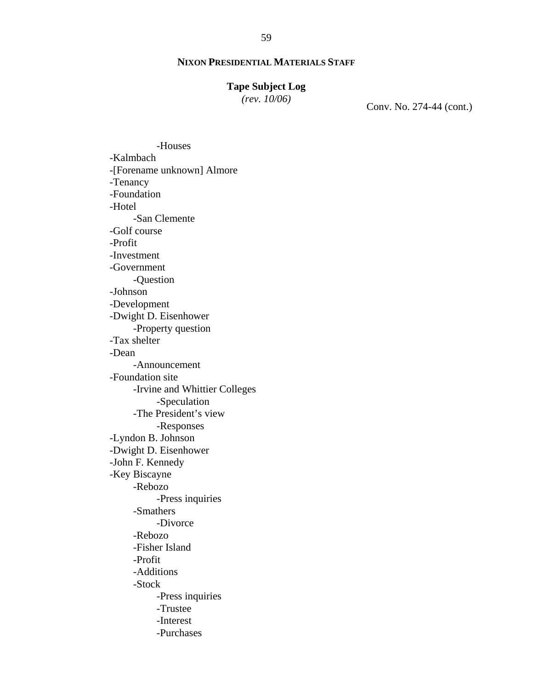# **Tape Subject Log**

*(rev. 10/06)*

Conv. No. 274-44 (cont.)

-Houses -Kalmbach -[Forename unknown] Almore -Tenancy -Foundation -Hotel -San Clemente -Golf course -Profit -Investment -Government -Question -Johnson -Development -Dwight D. Eisenhower -Property question -Tax shelter -Dean -Announcement -Foundation site -Irvine and Whittier Colleges -Speculation -The President's view -Responses -Lyndon B. Johnson -Dwight D. Eisenhower -John F. Kennedy -Key Biscayne -Rebozo -Press inquiries -Smathers -Divorce -Rebozo -Fisher Island -Profit -Additions -Stock -Press inquiries -Trustee -Interest -Purchases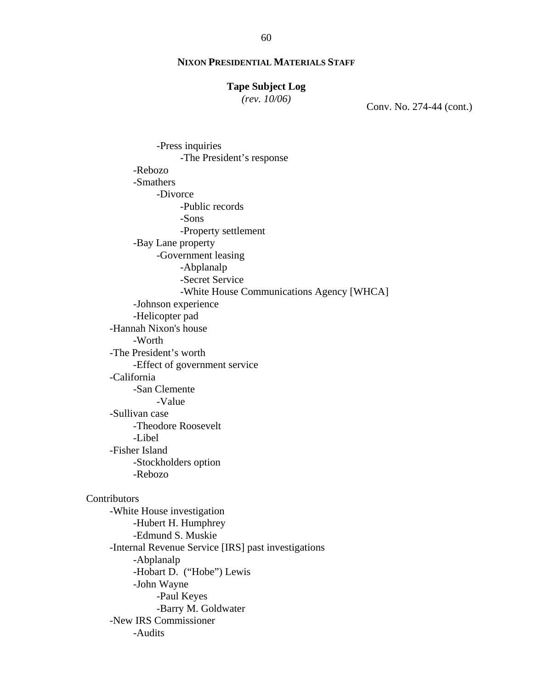# **Tape Subject Log**

*(rev. 10/06)*

Conv. No. 274-44 (cont.)

-Press inquiries -The President's response -Rebozo -Smathers -Divorce -Public records -Sons -Property settlement -Bay Lane property -Government leasing -Abplanalp -Secret Service -White House Communications Agency [WHCA] -Johnson experience -Helicopter pad -Hannah Nixon's house -Worth -The President's worth -Effect of government service -California -San Clemente -Value -Sullivan case -Theodore Roosevelt -Libel -Fisher Island -Stockholders option -Rebozo Contributors -White House investigation -Hubert H. Humphrey -Edmund S. Muskie -Internal Revenue Service [IRS] past investigations -Abplanalp -Hobart D. ("Hobe") Lewis -John Wayne -Paul Keyes -Barry M. Goldwater -New IRS Commissioner -Audits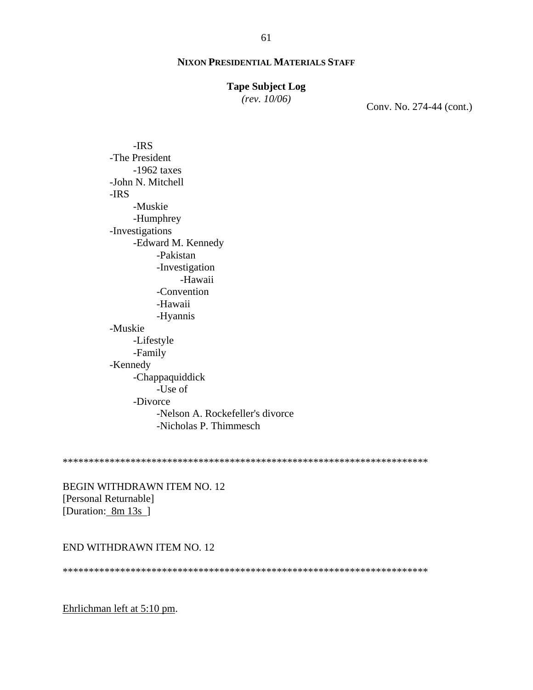#### **Tape Subject Log**

*(rev. 10/06)*

Conv. No. 274-44 (cont.)

-IRS -The President -1962 taxes -John N. Mitchell -IRS -Muskie -Humphrey -Investigations -Edward M. Kennedy -Pakistan -Investigation -Hawaii -Convention -Hawaii -Hyannis -Muskie -Lifestyle -Family -Kennedy -Chappaquiddick -Use of -Divorce -Nelson A. Rockefeller's divorce -Nicholas P. Thimmesch

\*\*\*\*\*\*\*\*\*\*\*\*\*\*\*\*\*\*\*\*\*\*\*\*\*\*\*\*\*\*\*\*\*\*\*\*\*\*\*\*\*\*\*\*\*\*\*\*\*\*\*\*\*\*\*\*\*\*\*\*\*\*\*\*\*\*\*\*\*\*

BEGIN WITHDRAWN ITEM NO. 12 [Personal Returnable] [Duration: 8m 13s]

# END WITHDRAWN ITEM NO. 12

\*\*\*\*\*\*\*\*\*\*\*\*\*\*\*\*\*\*\*\*\*\*\*\*\*\*\*\*\*\*\*\*\*\*\*\*\*\*\*\*\*\*\*\*\*\*\*\*\*\*\*\*\*\*\*\*\*\*\*\*\*\*\*\*\*\*\*\*\*\*

Ehrlichman left at 5:10 pm.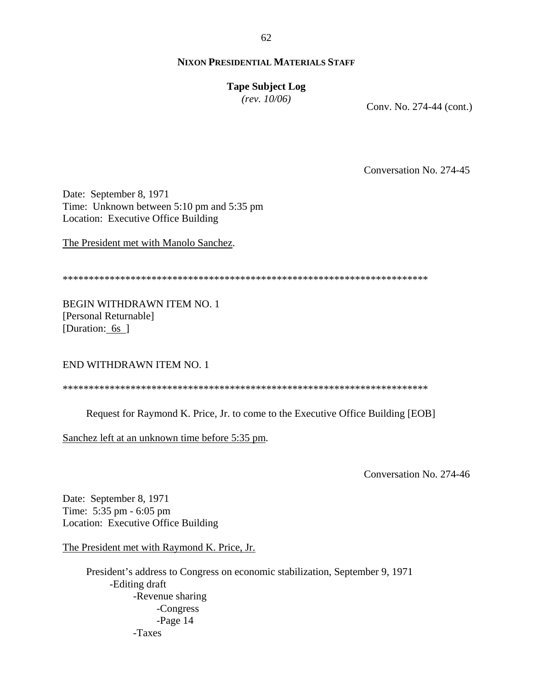62

# **NIXON PRESIDENTIAL MATERIALS STAFF**

# **Tape Subject Log**

*(rev. 10/06)*

Conv. No. 274-44 (cont.)

Conversation No. 274-45

Date: September 8, 1971 Time: Unknown between 5:10 pm and 5:35 pm Location: Executive Office Building

The President met with Manolo Sanchez.

\*\*\*\*\*\*\*\*\*\*\*\*\*\*\*\*\*\*\*\*\*\*\*\*\*\*\*\*\*\*\*\*\*\*\*\*\*\*\*\*\*\*\*\*\*\*\*\*\*\*\*\*\*\*\*\*\*\*\*\*\*\*\*\*\*\*\*\*\*\*

BEGIN WITHDRAWN ITEM NO. 1 [Personal Returnable] [Duration: 6s ]

END WITHDRAWN ITEM NO. 1

\*\*\*\*\*\*\*\*\*\*\*\*\*\*\*\*\*\*\*\*\*\*\*\*\*\*\*\*\*\*\*\*\*\*\*\*\*\*\*\*\*\*\*\*\*\*\*\*\*\*\*\*\*\*\*\*\*\*\*\*\*\*\*\*\*\*\*\*\*\*

Request for Raymond K. Price, Jr. to come to the Executive Office Building [EOB]

Sanchez left at an unknown time before 5:35 pm.

Conversation No. 274-46

Date: September 8, 1971 Time: 5:35 pm - 6:05 pm Location: Executive Office Building

The President met with Raymond K. Price, Jr.

President's address to Congress on economic stabilization, September 9, 1971 -Editing draft -Revenue sharing -Congress -Page 14 -Taxes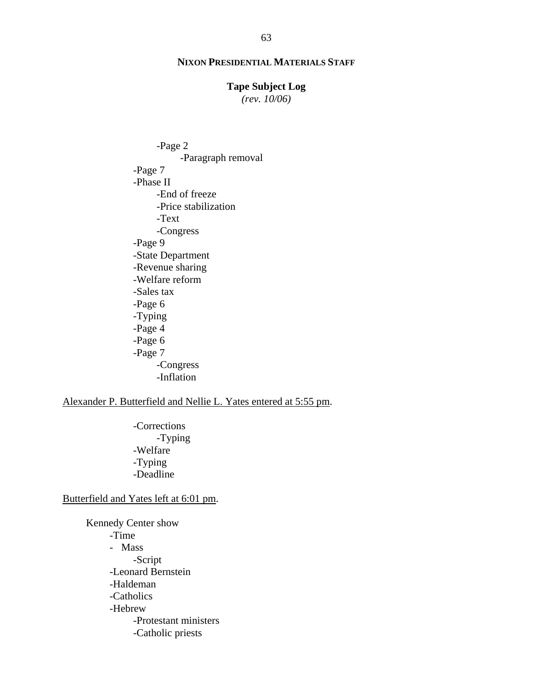#### **Tape Subject Log**

*(rev. 10/06)*

-Page 2 -Paragraph removal -Page 7 -Phase II -End of freeze -Price stabilization -Text -Congress -Page 9 -State Department -Revenue sharing -Welfare reform -Sales tax -Page 6 -Typing -Page 4 -Page 6 -Page 7 -Congress -Inflation

Alexander P. Butterfield and Nellie L. Yates entered at 5:55 pm.

-Corrections -Typing -Welfare -Typing -Deadline

Butterfield and Yates left at 6:01 pm.

Kennedy Center show -Time - Mass -Script -Leonard Bernstein -Haldeman -Catholics -Hebrew -Protestant ministers -Catholic priests